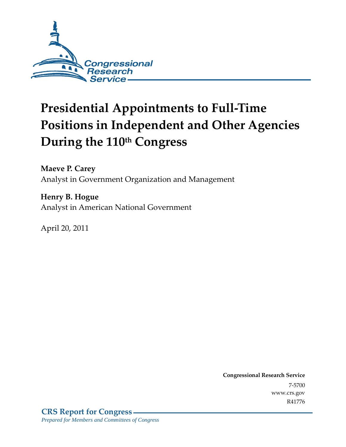

# **Presidential Appointments to Full-Time Positions in Independent and Other Agencies**  During the 110<sup>th</sup> Congress

**Maeve P. Carey**  Analyst in Government Organization and Management

**Henry B. Hogue**  Analyst in American National Government

April 20, 2011

**Congressional Research Service** 7-5700 www.crs.gov R41776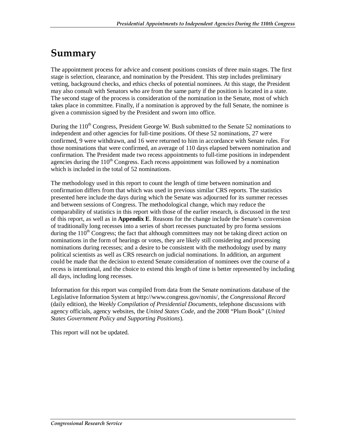# **Summary**

The appointment process for advice and consent positions consists of three main stages. The first stage is selection, clearance, and nomination by the President. This step includes preliminary vetting, background checks, and ethics checks of potential nominees. At this stage, the President may also consult with Senators who are from the same party if the position is located in a state. The second stage of the process is consideration of the nomination in the Senate, most of which takes place in committee. Finally, if a nomination is approved by the full Senate, the nominee is given a commission signed by the President and sworn into office.

During the  $110^{th}$  Congress, President George W. Bush submitted to the Senate 52 nominations to independent and other agencies for full-time positions. Of these 52 nominations, 27 were confirmed, 9 were withdrawn, and 16 were returned to him in accordance with Senate rules. For those nominations that were confirmed, an average of 110 days elapsed between nomination and confirmation. The President made two recess appointments to full-time positions in independent agencies during the  $110<sup>th</sup>$  Congress. Each recess appointment was followed by a nomination which is included in the total of 52 nominations.

The methodology used in this report to count the length of time between nomination and confirmation differs from that which was used in previous similar CRS reports. The statistics presented here include the days during which the Senate was adjourned for its summer recesses and between sessions of Congress. The methodological change, which may reduce the comparability of statistics in this report with those of the earlier research, is discussed in the text of this report, as well as in **Appendix E**. Reasons for the change include the Senate's conversion of traditionally long recesses into a series of short recesses punctuated by pro forma sessions during the  $110<sup>th</sup>$  Congress; the fact that although committees may not be taking direct action on nominations in the form of hearings or votes, they are likely still considering and processing nominations during recesses; and a desire to be consistent with the methodology used by many political scientists as well as CRS research on judicial nominations. In addition, an argument could be made that the decision to extend Senate consideration of nominees over the course of a recess is intentional, and the choice to extend this length of time is better represented by including all days, including long recesses.

Information for this report was compiled from data from the Senate nominations database of the Legislative Information System at http://www.congress.gov/nomis/, the *Congressional Record* (daily edition), the *Weekly Compilation of Presidential Documents*, telephone discussions with agency officials, agency websites, the *United States Code*, and the 2008 "Plum Book" (*United States Government Policy and Supporting Positions*).

This report will not be updated.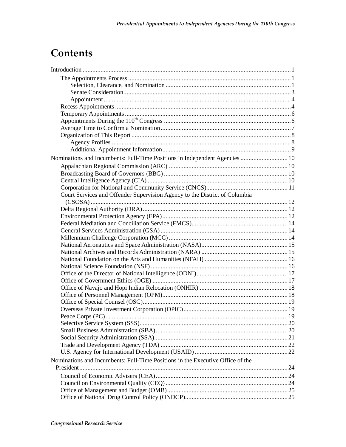# **Contents**

| Nominations and Incumbents: Full-Time Positions in Independent Agencies  10    |  |
|--------------------------------------------------------------------------------|--|
|                                                                                |  |
|                                                                                |  |
|                                                                                |  |
|                                                                                |  |
| Court Services and Offender Supervision Agency to the District of Columbia     |  |
|                                                                                |  |
|                                                                                |  |
|                                                                                |  |
|                                                                                |  |
|                                                                                |  |
|                                                                                |  |
|                                                                                |  |
|                                                                                |  |
|                                                                                |  |
|                                                                                |  |
|                                                                                |  |
|                                                                                |  |
|                                                                                |  |
|                                                                                |  |
|                                                                                |  |
|                                                                                |  |
|                                                                                |  |
|                                                                                |  |
|                                                                                |  |
|                                                                                |  |
|                                                                                |  |
|                                                                                |  |
|                                                                                |  |
| Nominations and Incumbents: Full-Time Positions in the Executive Office of the |  |
|                                                                                |  |
|                                                                                |  |
|                                                                                |  |
|                                                                                |  |
|                                                                                |  |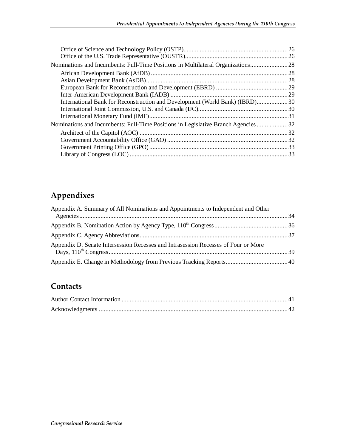| Nominations and Incumbents: Full-Time Positions in Multilateral Organizations      |  |
|------------------------------------------------------------------------------------|--|
|                                                                                    |  |
|                                                                                    |  |
|                                                                                    |  |
|                                                                                    |  |
| International Bank for Reconstruction and Development (World Bank) (IBRD)30        |  |
|                                                                                    |  |
|                                                                                    |  |
| Nominations and Incumbents: Full-Time Positions in Legislative Branch Agencies  32 |  |
|                                                                                    |  |
|                                                                                    |  |
|                                                                                    |  |
|                                                                                    |  |

## **Appendixes**

| Appendix A. Summary of All Nominations and Appointments to Independent and Other   |  |
|------------------------------------------------------------------------------------|--|
|                                                                                    |  |
|                                                                                    |  |
| Appendix D. Senate Intersession Recesses and Intrasession Recesses of Four or More |  |
|                                                                                    |  |

## **Contacts**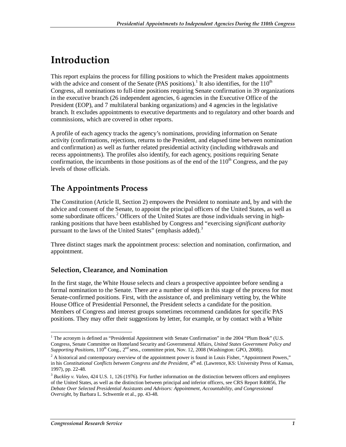# **Introduction**

This report explains the process for filling positions to which the President makes appointments with the advice and consent of the Senate (PAS positions).<sup>1</sup> It also identifies, for the  $110^{th}$ Congress, all nominations to full-time positions requiring Senate confirmation in 39 organizations in the executive branch (26 independent agencies, 6 agencies in the Executive Office of the President (EOP), and 7 multilateral banking organizations) and 4 agencies in the legislative branch. It excludes appointments to executive departments and to regulatory and other boards and commissions, which are covered in other reports.

A profile of each agency tracks the agency's nominations, providing information on Senate activity (confirmations, rejections, returns to the President, and elapsed time between nomination and confirmation) as well as further related presidential activity (including withdrawals and recess appointments). The profiles also identify, for each agency, positions requiring Senate confirmation, the incumbents in those positions as of the end of the  $110<sup>th</sup>$  Congress, and the pay levels of those officials.

## **The Appointments Process**

The Constitution (Article II, Section 2) empowers the President to nominate and, by and with the advice and consent of the Senate, to appoint the principal officers of the United States, as well as some subordinate officers.<sup>2</sup> Officers of the United States are those individuals serving in highranking positions that have been established by Congress and "exercising *significant authority* pursuant to the laws of the United States" (emphasis added).<sup>3</sup>

Three distinct stages mark the appointment process: selection and nomination, confirmation, and appointment.

### **Selection, Clearance, and Nomination**

In the first stage, the White House selects and clears a prospective appointee before sending a formal nomination to the Senate. There are a number of steps in this stage of the process for most Senate-confirmed positions. First, with the assistance of, and preliminary vetting by, the White House Office of Presidential Personnel, the President selects a candidate for the position. Members of Congress and interest groups sometimes recommend candidates for specific PAS positions. They may offer their suggestions by letter, for example, or by contact with a White

The acronym is defined as "Presidential Appointment with Senate Confirmation" in the 2004 "Plum Book" (U.S. Congress, Senate Committee on Homeland Security and Governmental Affairs, *United States Government Policy and Supporting Positions*,  $110^{th}$  Cong.,  $2^{nd}$  sess., committee print, Nov. 12, 2008 (Washington: GPO, 2008)).

 $2^2$  A historical and contemporary overview of the appointment power is found in Louis Fisher, "Appointment Powers," in his *Constitutional Conflicts between Congress and the President*, 4<sup>th</sup> ed. (Lawrence, KS: University Press of Kansas, 1997), pp. 22-48.

<sup>&</sup>lt;sup>3</sup> Buckley v. Valeo, 424 U.S. 1, 126 (1976). For further information on the distinction between officers and employees of the United States, as well as the distinction between principal and inferior officers, see CRS Report R40856, *The Debate Over Selected Presidential Assistants and Advisors: Appointment, Accountability, and Congressional Oversight*, by Barbara L. Schwemle et al., pp. 43-48.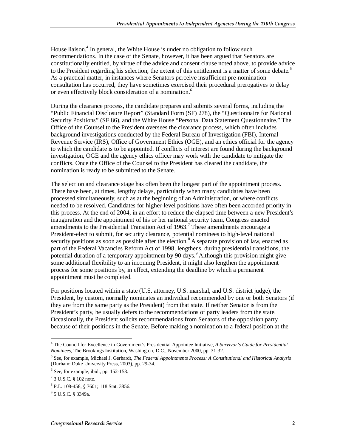House liaison.<sup>4</sup> In general, the White House is under no obligation to follow such recommendations. In the case of the Senate, however, it has been argued that Senators are constitutionally entitled, by virtue of the advice and consent clause noted above, to provide advice to the President regarding his selection; the extent of this entitlement is a matter of some debate.<sup>5</sup> As a practical matter, in instances where Senators perceive insufficient pre-nomination consultation has occurred, they have sometimes exercised their procedural prerogatives to delay or even effectively block consideration of a nomination.<sup>6</sup>

During the clearance process, the candidate prepares and submits several forms, including the "Public Financial Disclosure Report" (Standard Form (SF) 278), the "Questionnaire for National Security Positions" (SF 86), and the White House "Personal Data Statement Questionnaire." The Office of the Counsel to the President oversees the clearance process, which often includes background investigations conducted by the Federal Bureau of Investigation (FBI), Internal Revenue Service (IRS), Office of Government Ethics (OGE), and an ethics official for the agency to which the candidate is to be appointed. If conflicts of interest are found during the background investigation, OGE and the agency ethics officer may work with the candidate to mitigate the conflicts. Once the Office of the Counsel to the President has cleared the candidate, the nomination is ready to be submitted to the Senate.

The selection and clearance stage has often been the longest part of the appointment process. There have been, at times, lengthy delays, particularly when many candidates have been processed simultaneously, such as at the beginning of an Administration, or where conflicts needed to be resolved. Candidates for higher-level positions have often been accorded priority in this process. At the end of 2004, in an effort to reduce the elapsed time between a new President's inauguration and the appointment of his or her national security team, Congress enacted amendments to the Presidential Transition Act of  $1963$ .<sup>7</sup> These amendments encourage a President-elect to submit, for security clearance, potential nominees to high-level national security positions as soon as possible after the election.<sup>8</sup> A separate provision of law, enacted as part of the Federal Vacancies Reform Act of 1998, lengthens, during presidential transitions, the potential duration of a temporary appointment by 90 days.<sup>9</sup> Although this provision might give some additional flexibility to an incoming President, it might also lengthen the appointment process for some positions by, in effect, extending the deadline by which a permanent appointment must be completed.

For positions located within a state (U.S. attorney, U.S. marshal, and U.S. district judge), the President, by custom, normally nominates an individual recommended by one or both Senators (if they are from the same party as the President) from that state. If neither Senator is from the President's party, he usually defers to the recommendations of party leaders from the state. Occasionally, the President solicits recommendations from Senators of the opposition party because of their positions in the Senate. Before making a nomination to a federal position at the

 4 The Council for Excellence in Government's Presidential Appointee Initiative, *A Survivor's Guide for Presidential Nominees*, The Brookings Institution, Washington, D.C., November 2000, pp. 31-32.

<sup>5</sup> See, for example, Michael J. Gerhardt, *The Federal Appointments Process: A Constitutional and Historical Analysis* (Durham: Duke University Press, 2003), pp. 29-34.

<sup>6</sup> See, for example, ibid., pp. 152-153.

<sup>7</sup> 3 U.S.C. § 102 note.

<sup>8</sup> P.L. 108-458, § 7601; 118 Stat. 3856.

<sup>9</sup> 5 U.S.C. § 3349a.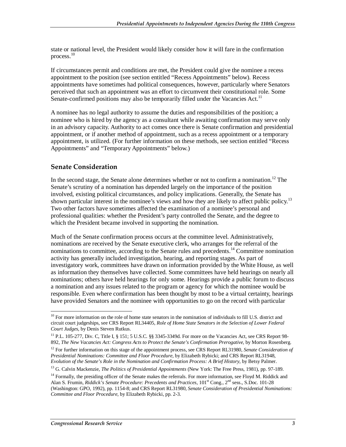state or national level, the President would likely consider how it will fare in the confirmation process.<sup>10</sup>

If circumstances permit and conditions are met, the President could give the nominee a recess appointment to the position (see section entitled "Recess Appointments" below). Recess appointments have sometimes had political consequences, however, particularly where Senators perceived that such an appointment was an effort to circumvent their constitutional role. Some Senate-confirmed positions may also be temporarily filled under the Vacancies Act.<sup>11</sup>

A nominee has no legal authority to assume the duties and responsibilities of the position; a nominee who is hired by the agency as a consultant while awaiting confirmation may serve only in an advisory capacity. Authority to act comes once there is Senate confirmation and presidential appointment, or if another method of appointment, such as a recess appointment or a temporary appointment, is utilized. (For further information on these methods, see section entitled "Recess Appointments" and "Temporary Appointments" below.)

### **Senate Consideration**

In the second stage, the Senate alone determines whether or not to confirm a nomination.<sup>12</sup> The Senate's scrutiny of a nomination has depended largely on the importance of the position involved, existing political circumstances, and policy implications. Generally, the Senate has shown particular interest in the nominee's views and how they are likely to affect public policy.<sup>13</sup> Two other factors have sometimes affected the examination of a nominee's personal and professional qualities: whether the President's party controlled the Senate, and the degree to which the President became involved in supporting the nomination.

Much of the Senate confirmation process occurs at the committee level. Administratively, nominations are received by the Senate executive clerk, who arranges for the referral of the nominations to committee, according to the Senate rules and precedents.<sup>14</sup> Committee nomination activity has generally included investigation, hearing, and reporting stages. As part of investigatory work, committees have drawn on information provided by the White House, as well as information they themselves have collected. Some committees have held hearings on nearly all nominations; others have held hearings for only some. Hearings provide a public forum to discuss a nomination and any issues related to the program or agency for which the nominee would be responsible. Even where confirmation has been thought by most to be a virtual certainty, hearings have provided Senators and the nominee with opportunities to go on the record with particular

<sup>-</sup> $10$  For more information on the role of home state senators in the nomination of individuals to fill U.S. district and circuit court judgeships, see CRS Report RL34405, *Role of Home State Senators in the Selection of Lower Federal Court Judges*, by Denis Steven Rutkus.

<sup>&</sup>lt;sup>11</sup> P.L. 105-277, Div. C, Title I, § 151; 5 U.S.C. §§ 3345-3349d. For more on the Vacancies Act, see CRS Report 98-892, *The New Vacancies Act: Congress Acts to Protect the Senate's Confirmation Prerogative*, by Morton Rosenberg.

<sup>&</sup>lt;sup>12</sup> For further information on this stage of the appointment process, see CRS Report RL31980, *Senate Consideration of Presidential Nominations: Committee and Floor Procedure*, by Elizabeth Rybicki; and CRS Report RL31948, *Evolution of the Senate's Role in the Nomination and Confirmation Process: A Brief History*, by Betsy Palmer.

<sup>&</sup>lt;sup>13</sup> G. Calvin Mackenzie, *The Politics of Presidential Appointments* (New York: The Free Press, 1981), pp. 97-189.

<sup>&</sup>lt;sup>14</sup> Formally, the presiding officer of the Senate makes the referrals. For more information, see Floyd M. Riddick and Alan S. Frumin, *Riddick's Senate Procedure: Precedents and Practices*, 101<sup>st</sup> Cong., 2<sup>nd</sup> sess., S.Doc. 101-28 (Washington: GPO, 1992), pp. 1154-8; and CRS Report RL31980, *Senate Consideration of Presidential Nominations: Committee and Floor Procedure*, by Elizabeth Rybicki, pp. 2-3.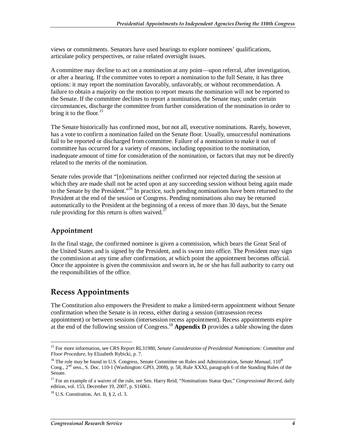views or commitments. Senators have used hearings to explore nominees' qualifications, articulate policy perspectives, or raise related oversight issues.

A committee may decline to act on a nomination at any point—upon referral, after investigation, or after a hearing. If the committee votes to report a nomination to the full Senate, it has three options: it may report the nomination favorably, unfavorably, or without recommendation. A failure to obtain a majority on the motion to report means the nomination will not be reported to the Senate. If the committee declines to report a nomination, the Senate may, under certain circumstances, discharge the committee from further consideration of the nomination in order to bring it to the floor.  $15$ 

The Senate historically has confirmed most, but not all, executive nominations. Rarely, however, has a vote to confirm a nomination failed on the Senate floor. Usually, unsuccessful nominations fail to be reported or discharged from committee. Failure of a nomination to make it out of committee has occurred for a variety of reasons, including opposition to the nomination, inadequate amount of time for consideration of the nomination, or factors that may not be directly related to the merits of the nomination.

Senate rules provide that "[n]ominations neither confirmed nor rejected during the session at which they are made shall not be acted upon at any succeeding session without being again made to the Senate by the President."16 In practice, such pending nominations have been returned to the President at the end of the session or Congress. Pending nominations also may be returned automatically to the President at the beginning of a recess of more than 30 days, but the Senate rule providing for this return is often waived.<sup>1</sup>

### **Appointment**

In the final stage, the confirmed nominee is given a commission, which bears the Great Seal of the United States and is signed by the President, and is sworn into office. The President may sign the commission at any time after confirmation, at which point the appointment becomes official. Once the appointee is given the commission and sworn in, he or she has full authority to carry out the responsibilities of the office.

## **Recess Appointments**

The Constitution also empowers the President to make a limited-term appointment without Senate confirmation when the Senate is in recess, either during a session (intrasession recess appointment) or between sessions (intersession recess appointment). Recess appointments expire at the end of the following session of Congress.<sup>18</sup> **Appendix D** provides a table showing the dates

<sup>-</sup>15 For more information, see CRS Report RL31980, *Senate Consideration of Presidential Nominations: Committee and Floor Procedure*, by Elizabeth Rybicki, p. 7.

<sup>&</sup>lt;sup>16</sup> The rule may be found in U.S. Congress, Senate Committee on Rules and Administration, *Senate Manual*, 110<sup>th</sup> Cong., 2nd sess., S. Doc. 110-1 (Washington: GPO, 2008), p. 58, Rule XXXI, paragraph 6 of the Standing Rules of the Senate.

<sup>&</sup>lt;sup>17</sup> For an example of a waiver of the rule, see Sen. Harry Reid, "Nominations Status Quo," *Congressional Record*, daily edition, vol. 153, December 19, 2007, p. S16061.

 $18$  U.S. Constitution, Art. II, § 2, cl. 3.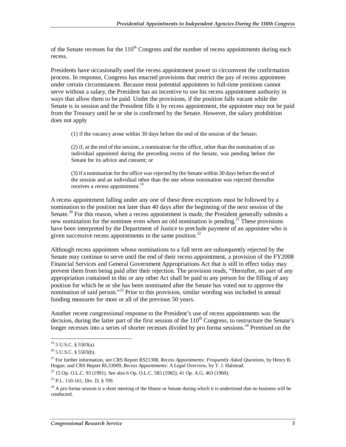of the Senate recesses for the  $110<sup>th</sup>$  Congress and the number of recess appointments during each recess.

Presidents have occasionally used the recess appointment power to circumvent the confirmation process. In response, Congress has enacted provisions that restrict the pay of recess appointees under certain circumstances. Because most potential appointees to full-time positions cannot serve without a salary, the President has an incentive to use his recess appointment authority in ways that allow them to be paid. Under the provisions, if the position falls vacant while the Senate is in session and the President fills it by recess appointment, the appointee may not be paid from the Treasury until he or she is confirmed by the Senate. However, the salary prohibition does not apply

(1) if the vacancy arose within 30 days before the end of the session of the Senate;

(2) if, at the end of the session, a nomination for the office, other than the nomination of an individual appointed during the preceding recess of the Senate, was pending before the Senate for its advice and consent; or

(3) if a nomination for the office was rejected by the Senate within 30 days before the end of the session and an individual other than the one whose nomination was rejected thereafter receives a recess appointment.<sup>19</sup>

A recess appointment falling under any one of these three exceptions must be followed by a nomination to the position not later than 40 days after the beginning of the next session of the Senate.<sup>20</sup> For this reason, when a recess appointment is made, the President generally submits a new nomination for the nominee even when an old nomination is pending.<sup>21</sup> These provisions have been interpreted by the Department of Justice to preclude payment of an appointee who is given successive recess appointments to the same position.<sup>22</sup>

Although recess appointees whose nominations to a full term are subsequently rejected by the Senate may continue to serve until the end of their recess appointment, a provision of the FY2008 Financial Services and General Government Appropriations Act that is still in effect today may prevent them from being paid after their rejection. The provision reads, "Hereafter, no part of any appropriation contained in this or any other Act shall be paid to any person for the filling of any position for which he or she has been nominated after the Senate has voted not to approve the nomination of said person."<sup>23</sup> Prior to this provision, similar wording was included in annual funding measures for most or all of the previous 50 years.

Another recent congressional response to the President's use of recess appointments was the decision, during the latter part of the first session of the  $110<sup>th</sup>$  Congress, to restructure the Senate's longer recesses into a series of shorter recesses divided by pro forma sessions.<sup>24</sup> Premised on the

<sup>-</sup> $19$  5 U.S.C. § 5503(a).

 $20$  5 U.S.C. § 5503(b).

<sup>&</sup>lt;sup>21</sup> For further information, see CRS Report RS21308, *Recess Appointments: Frequently Asked Questions*, by Henry B. Hogue; and CRS Report RL33009, *Recess Appointments: A Legal Overview*, by T. J. Halstead.

<sup>&</sup>lt;sup>22</sup> 15 Op. O.L.C. 93 (1991). See also 6 Op. O.L.C. 585 (1982); 41 Op. A.G. 463 (1960).

 $23$  P.L. 110-161, Div. D,  $8709$ .

 $24$  A pro forma session is a short meeting of the House or Senate during which it is understood that no business will be conducted.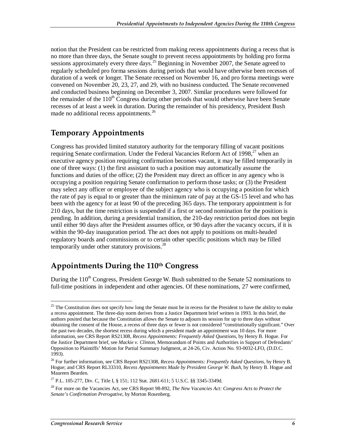notion that the President can be restricted from making recess appointments during a recess that is no more than three days, the Senate sought to prevent recess appointments by holding pro forma sessions approximately every three days.<sup>25</sup> Beginning in November 2007, the Senate agreed to regularly scheduled pro forma sessions during periods that would have otherwise been recesses of duration of a week or longer. The Senate recessed on November 16, and pro forma meetings were convened on November 20, 23, 27, and 29, with no business conducted. The Senate reconvened and conducted business beginning on December 3, 2007. Similar procedures were followed for the remainder of the  $110<sup>th</sup>$  Congress during other periods that would otherwise have been Senate recesses of at least a week in duration. During the remainder of his presidency, President Bush made no additional recess appointments.<sup>26</sup>

## **Temporary Appointments**

Congress has provided limited statutory authority for the temporary filling of vacant positions requiring Senate confirmation. Under the Federal Vacancies Reform Act of 1998,<sup>27</sup> when an executive agency position requiring confirmation becomes vacant, it may be filled temporarily in one of three ways: (1) the first assistant to such a position may automatically assume the functions and duties of the office; (2) the President may direct an officer in any agency who is occupying a position requiring Senate confirmation to perform those tasks; or (3) the President may select any officer or employee of the subject agency who is occupying a position for which the rate of pay is equal to or greater than the minimum rate of pay at the GS-15 level and who has been with the agency for at least 90 of the preceding 365 days. The temporary appointment is for 210 days, but the time restriction is suspended if a first or second nomination for the position is pending. In addition, during a presidential transition, the 210-day restriction period does not begin until either 90 days after the President assumes office, or 90 days after the vacancy occurs, if it is within the 90-day inauguration period. The act does not apply to positions on multi-headed regulatory boards and commissions or to certain other specific positions which may be filled temporarily under other statutory provisions. $^{28}$ 

## **Appointments During the 110th Congress**

During the  $110^{th}$  Congress, President George W. Bush submitted to the Senate 52 nominations to full-time positions in independent and other agencies. Of these nominations, 27 were confirmed,

<sup>&</sup>lt;u>.</u> <sup>25</sup> The Constitution does not specify how long the Senate must be in recess for the President to have the ability to make a recess appointment. The three-day norm derives from a Justice Department brief written in 1993. In this brief, the authors posited that because the Constitution allows the Senate to adjourn its session for up to three days without obtaining the consent of the House, a recess of three days or fewer is not considered "constitutionally significant." Over the past two decades, the shortest recess during which a president made an appointment was 10 days. For more information, see CRS Report RS21308, *Recess Appointments: Frequently Asked Questions*, by Henry B. Hogue. For the Justice Department brief, see *Mackie v. Clinton*, Memorandum of Points and Authorities in Support of Defendants' Opposition to Plaintiffs' Motion for Partial Summary Judgment, at 24-26, Civ. Action No. 93-0032-LFO, (D.D.C. 1993).

<sup>26</sup> For further information, see CRS Report RS21308, *Recess Appointments: Frequently Asked Questions*, by Henry B. Hogue; and CRS Report RL33310, *Recess Appointments Made by President George W. Bush*, by Henry B. Hogue and Maureen Bearden.

<sup>&</sup>lt;sup>27</sup> P.L. 105-277, Div. C, Title I, § 151; 112 Stat. 2681-611; 5 U.S.C. §§ 3345-3349d.

<sup>28</sup> For more on the Vacancies Act, see CRS Report 98-892, *The New Vacancies Act: Congress Acts to Protect the Senate's Confirmation Prerogative*, by Morton Rosenberg.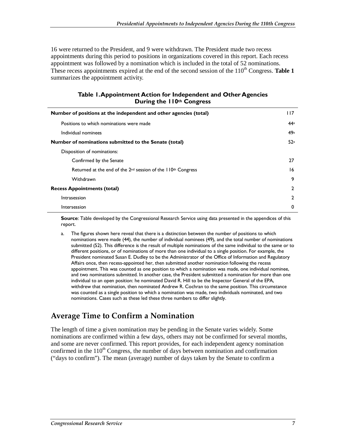16 were returned to the President, and 9 were withdrawn. The President made two recess appointments during this period to positions in organizations covered in this report. Each recess appointment was followed by a nomination which is included in the total of 52 nominations. These recess appointments expired at the end of the second session of the  $110<sup>th</sup>$  Congress. **Table 1** summarizes the appointment activity.

#### **Table 1. Appointment Action for Independent and Other Agencies During the 110th Congress**

| Number of positions at the independent and other agencies (total) | l I 7          |
|-------------------------------------------------------------------|----------------|
| Positions to which nominations were made                          | 44a            |
| Individual nominees                                               | 49a            |
| Number of nominations submitted to the Senate (total)             | 52a            |
| Disposition of nominations:                                       |                |
| Confirmed by the Senate                                           | 27             |
| Returned at the end of the $2nd$ session of the $110th$ Congress  | 16             |
| Withdrawn                                                         | 9              |
| <b>Recess Appointments (total)</b>                                | $\overline{2}$ |
| Intrasession                                                      | 2              |
| Intersession                                                      | 0              |

**Source**: Table developed by the Congressional Research Service using data presented in the appendices of this report.

a. The figures shown here reveal that there is a distinction between the number of positions to which nominations were made (44), the number of individual nominees (49), and the total number of nominations submitted (52). This difference is the result of multiple nominations of the same individual to the same or to different positions, or of nominations of more than one individual to a single position. For example, the President nominated Susan E. Dudley to be the Administrator of the Office of Information and Regulatory Affairs once, then recess-appointed her, then submitted another nomination following the recess appointment. This was counted as one position to which a nomination was made, one individual nominee, and two nominations submitted. In another case, the President submitted a nomination for more than one individual to an open position: he nominated David R. Hill to be the Inspector General of the EPA, withdrew that nomination, then nominated Andrew R. Cochran to the same position. This circumstance was counted as a single position to which a nomination was made, two individuals nominated, and two nominations. Cases such as these led these three numbers to differ slightly.

## **Average Time to Confirm a Nomination**

The length of time a given nomination may be pending in the Senate varies widely. Some nominations are confirmed within a few days, others may not be confirmed for several months, and some are never confirmed. This report provides, for each independent agency nomination confirmed in the  $110<sup>th</sup>$  Congress, the number of days between nomination and confirmation ("days to confirm"). The mean (average) number of days taken by the Senate to confirm a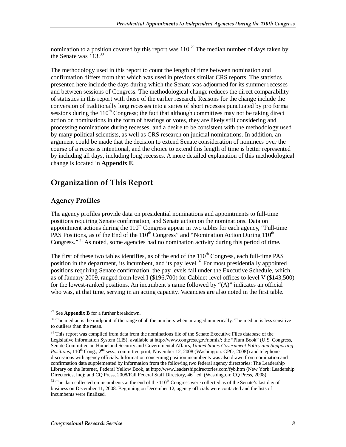nomination to a position covered by this report was  $110<sup>29</sup>$  The median number of days taken by the Senate was  $113^{30}$ 

The methodology used in this report to count the length of time between nomination and confirmation differs from that which was used in previous similar CRS reports. The statistics presented here include the days during which the Senate was adjourned for its summer recesses and between sessions of Congress. The methodological change reduces the direct comparability of statistics in this report with those of the earlier research. Reasons for the change include the conversion of traditionally long recesses into a series of short recesses punctuated by pro forma sessions during the  $110<sup>th</sup>$  Congress; the fact that although committees may not be taking direct action on nominations in the form of hearings or votes, they are likely still considering and processing nominations during recesses; and a desire to be consistent with the methodology used by many political scientists, as well as CRS research on judicial nominations. In addition, an argument could be made that the decision to extend Senate consideration of nominees over the course of a recess is intentional, and the choice to extend this length of time is better represented by including all days, including long recesses. A more detailed explanation of this methodological change is located in **Appendix E**.

## **Organization of This Report**

### **Agency Profiles**

The agency profiles provide data on presidential nominations and appointments to full-time positions requiring Senate confirmation, and Senate action on the nominations. Data on appointment actions during the  $110<sup>th</sup>$  Congress appear in two tables for each agency, "Full-time PAS Positions, as of the End of the  $110^{th}$  Congress" and "Nomination Action During  $110^{th}$ Congress."<sup>31</sup> As noted, some agencies had no nomination activity during this period of time.

The first of these two tables identifies, as of the end of the  $110<sup>th</sup>$  Congress, each full-time PAS position in the department, its incumbent, and its pay level.<sup>32</sup> For most presidentially appointed positions requiring Senate confirmation, the pay levels fall under the Executive Schedule, which, as of January 2009, ranged from level I (\$196,700) for Cabinet-level offices to level V (\$143,500) for the lowest-ranked positions. An incumbent's name followed by "(A)" indicates an official who was, at that time, serving in an acting capacity. Vacancies are also noted in the first table.

<sup>-</sup>29 See **Appendix B** for a further breakdown.

 $30$  The median is the midpoint of the range of all the numbers when arranged numerically. The median is less sensitive to outliers than the mean.

<sup>&</sup>lt;sup>31</sup> This report was compiled from data from the nominations file of the Senate Executive Files database of the Legislative Information System (LIS), available at http://www.congress.gov/nomis/; the "Plum Book" (U.S. Congress, Senate Committee on Homeland Security and Governmental Affairs, *United States Government Policy and Supporting Positions*, 110<sup>th</sup> Cong., 2<sup>nd</sup> sess., committee print, November 12, 2008 (Washington: GPO, 2008)) and telephone discussions with agency officials. Information concerning position incumbents was also drawn from nomination and confirmation data supplemented by information from the following two federal agency directories: The Leadership Library on the Internet, Federal Yellow Book, at http://www.leadershipdirectories.com/fyb.htm (New York: Leadership Directories, Inc); and CQ Press, 2008/Fall Federal Staff Directory,  $46<sup>th</sup>$  ed. (Washington: CQ Press, 2008).

 $32$  The data collected on incumbents at the end of the  $110<sup>th</sup>$  Congress were collected as of the Senate's last day of business on December 11, 2008. Beginning on December 12, agency officials were contacted and the lists of incumbents were finalized.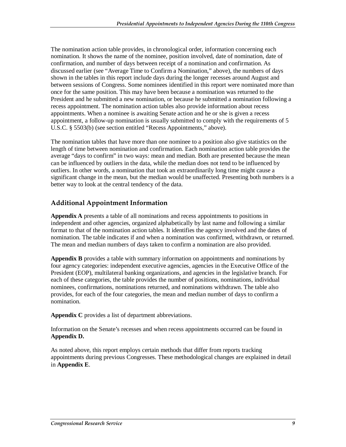The nomination action table provides, in chronological order, information concerning each nomination. It shows the name of the nominee, position involved, date of nomination, date of confirmation, and number of days between receipt of a nomination and confirmation. As discussed earlier (see "Average Time to Confirm a Nomination," above), the numbers of days shown in the tables in this report include days during the longer recesses around August and between sessions of Congress. Some nominees identified in this report were nominated more than once for the same position. This may have been because a nomination was returned to the President and he submitted a new nomination, or because he submitted a nomination following a recess appointment. The nomination action tables also provide information about recess appointments. When a nominee is awaiting Senate action and he or she is given a recess appointment, a follow-up nomination is usually submitted to comply with the requirements of 5 U.S.C. § 5503(b) (see section entitled "Recess Appointments," above).

The nomination tables that have more than one nominee to a position also give statistics on the length of time between nomination and confirmation. Each nomination action table provides the average "days to confirm" in two ways: mean and median. Both are presented because the mean can be influenced by outliers in the data, while the median does not tend to be influenced by outliers. In other words, a nomination that took an extraordinarily long time might cause a significant change in the mean, but the median would be unaffected. Presenting both numbers is a better way to look at the central tendency of the data.

### **Additional Appointment Information**

**Appendix A** presents a table of all nominations and recess appointments to positions in independent and other agencies, organized alphabetically by last name and following a similar format to that of the nomination action tables. It identifies the agency involved and the dates of nomination. The table indicates if and when a nomination was confirmed, withdrawn, or returned. The mean and median numbers of days taken to confirm a nomination are also provided.

**Appendix B** provides a table with summary information on appointments and nominations by four agency categories: independent executive agencies, agencies in the Executive Office of the President (EOP), multilateral banking organizations, and agencies in the legislative branch. For each of these categories, the table provides the number of positions, nominations, individual nominees, confirmations, nominations returned, and nominations withdrawn. The table also provides, for each of the four categories, the mean and median number of days to confirm a nomination.

**Appendix C** provides a list of department abbreviations.

Information on the Senate's recesses and when recess appointments occurred can be found in **Appendix D.** 

As noted above, this report employs certain methods that differ from reports tracking appointments during previous Congresses. These methodological changes are explained in detail in **Appendix E**.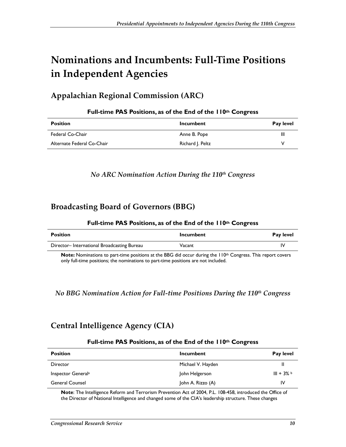# **Nominations and Incumbents: Full-Time Positions in Independent Agencies**

## **Appalachian Regional Commission (ARC)**

| <b>Position</b>            | Incumbent        | Pay level |
|----------------------------|------------------|-----------|
| Federal Co-Chair           | Anne B. Pope     | Ш         |
| Alternate Federal Co-Chair | Richard J. Peltz | v         |

#### **Full-time PAS Positions, as of the End of the 110th Congress**

### *No ARC Nomination Action During the 110th Congress*

### **Broadcasting Board of Governors (BBG)**

#### **Full-time PAS Positions, as of the End of the 110th Congress**

| <b>Position</b>                                                                                          | Incumbent | Pay level |
|----------------------------------------------------------------------------------------------------------|-----------|-----------|
| Director-International Broadcasting Bureau                                                               | Vacant    | I٧        |
| Nata Nautusting to the third certified style. DDC did again dinited the HOS Common This activities are a |           |           |

**Note:** Nominations to part-time positions at the BBG did occur during the 110<sup>th</sup> Congress. This report covers only full-time positions; the nominations to part-time positions are not included.

### *No BBG Nomination Action for Full-time Positions During the 110th Congress*

## **Central Intelligence Agency (CIA)**

#### **Full-time PAS Positions, as of the End of the 110th Congress**

| <b>Position</b>                | Incumbent         | Pay level  |
|--------------------------------|-------------------|------------|
| Director                       | Michael V. Hayden | Ш          |
| Inspector General <sup>a</sup> | John Helgerson    | $III + 3%$ |
| <b>General Counsel</b>         | John A. Rizzo (A) | IV         |

**Note**: The Intelligence Reform and Terrorism Prevention Act of 2004, P.L. 108-458, introduced the Office of the Director of National Intelligence and changed some of the CIA's leadership structure. These changes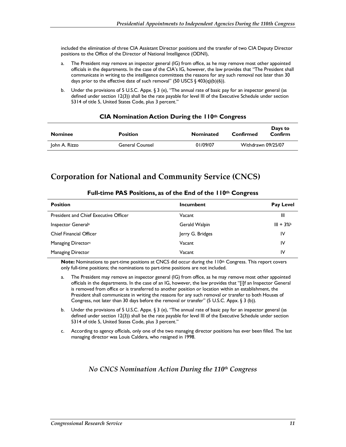included the elimination of three CIA Assistant Director positions and the transfer of two CIA Deputy Director positions to the Office of the Director of National Intelligence (ODNI),

- a. The President may remove an inspector general (IG) from office, as he may remove most other appointed officials in the departments. In the case of the CIA's IG, however, the law provides that "The President shall communicate in writing to the intelligence committees the reasons for any such removal not later than 30 days prior to the effective date of such removal" (50 USCS § 403(q)(b)(6)).
- b. Under the provisions of 5 U.S.C. Appx. § 3 (e), "The annual rate of basic pay for an inspector general (as defined under section 12(3)) shall be the rate payable for level III of the Executive Schedule under section 5314 of title 5, United States Code, plus 3 percent."

| <b>Nominee</b> | <b>Position</b>        | <b>Nominated</b> | Confirmed          | Days to<br>Confirm |
|----------------|------------------------|------------------|--------------------|--------------------|
| John A. Rizzo  | <b>General Counsel</b> | 01/09/07         | Withdrawn 09/25/07 |                    |

#### **CIA Nomination Action During the 110th Congress**

### **Corporation for National and Community Service (CNCS)**

| <b>Position</b>                              | Incumbent        | <b>Pay Level</b> |
|----------------------------------------------|------------------|------------------|
| <b>President and Chief Executive Officer</b> | Vacant           | Ш                |
| Inspector General <sup>a</sup>               | Gerald Walpin    | $III + 3%$       |
| <b>Chief Financial Officer</b>               | Jerry G. Bridges | IV               |
| Managing Director <sup>c</sup>               | Vacant           | IV               |
| <b>Managing Director</b>                     | Vacant           | IV               |

#### **Full-time PAS Positions, as of the End of the 110th Congress**

**Note:** Nominations to part-time positions at CNCS did occur during the 110<sup>th</sup> Congress. This report covers only full-time positions; the nominations to part-time positions are not included.

- a. The President may remove an inspector general (IG) from office, as he may remove most other appointed officials in the departments. In the case of an IG, however, the law provides that "[i]f an Inspector General is removed from office or is transferred to another position or location within an establishment, the President shall communicate in writing the reasons for any such removal or transfer to both Houses of Congress, not later than 30 days before the removal or transfer" (5 U.S.C. Appx. § 3 (b)).
- b. Under the provisions of 5 U.S.C. Appx. § 3 (e), "The annual rate of basic pay for an inspector general (as defined under section 12(3)) shall be the rate payable for level III of the Executive Schedule under section 5314 of title 5, United States Code, plus 3 percent."
- c. According to agency officials, only one of the two managing director positions has ever been filled. The last managing director was Louis Caldera, who resigned in 1998.

#### *No CNCS Nomination Action During the 110th Congress*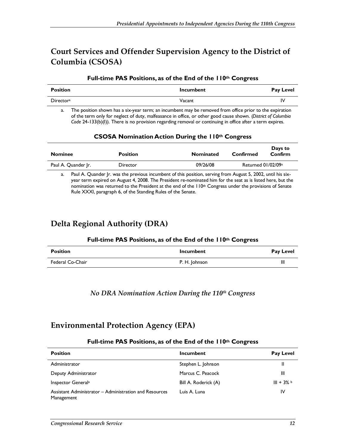## **Court Services and Offender Supervision Agency to the District of Columbia (CSOSA)**

#### **Full-time PAS Positions, as of the End of the 110th Congress**

| Position         | <b>Incumbent</b> | <b>Pay Level</b> |
|------------------|------------------|------------------|
| <b>Directora</b> | Vacant           | I٧               |

a. The position shown has a six-year term; an incumbent may be removed from office prior to the expiration of the term only for neglect of duty, malfeasance in office, or other good cause shown. (*District of Columbia Code* 24-133(b)(I)). There is no provision regarding removal or continuing in office after a term expires.

#### **CSOSA Nomination Action During the 110th Congress**

| <b>Nominee</b>      | <b>Position</b> | <b>Nominated</b> | Confirmed          | Days to<br>Confirm |
|---------------------|-----------------|------------------|--------------------|--------------------|
| Paul A. Quander Ir. | <b>Director</b> | 09/26/08         | Returned 01/02/09a |                    |

a. Paul A. Quander Jr. was the previous incumbent of this position, serving from August 5, 2002, until his sixyear term expired on August 4, 2008. The President re-nominated him for the seat as is listed here, but the nomination was returned to the President at the end of the 110<sup>th</sup> Congress under the provisions of Senate Rule XXXI, paragraph 6, of the Standing Rules of the Senate.

## **Delta Regional Authority (DRA)**

#### **Full-time PAS Positions, as of the End of the 110th Congress**

| <b>Position</b>  | Incumbent     | <b>Pay Level</b> |
|------------------|---------------|------------------|
| Federal Co-Chair | P. H. Johnson | Ш                |

### *No DRA Nomination Action During the 110th Congress*

## **Environmental Protection Agency (EPA)**

#### **Full-time PAS Positions, as of the End of the 110th Congress**

| <b>Position</b>                                                      | Incumbent            | <b>Pay Level</b> |
|----------------------------------------------------------------------|----------------------|------------------|
| Administrator                                                        | Stephen L. Johnson   | Ш                |
| Deputy Administrator                                                 | Marcus C. Peacock    | Ш                |
| Inspector General <sup>a</sup>                                       | Bill A. Roderick (A) | $III + 3%$       |
| Assistant Administrator – Administration and Resources<br>Management | Luis A. Luna         | 1V               |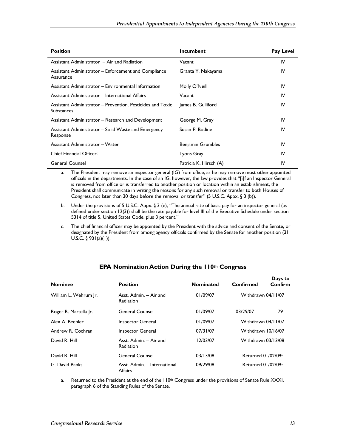| <b>Position</b>                                                          | <b>Incumbent</b>         | Pay Level |
|--------------------------------------------------------------------------|--------------------------|-----------|
| Assistant Administrator - Air and Radiation                              | Vacant                   | IV        |
| Assistant Administrator – Enforcement and Compliance<br>Assurance        | Granta Y. Nakayama       | IV        |
| Assistant Administrator – Environmental Information                      | Molly O'Neill            | IV        |
| Assistant Administrator – International Affairs                          | Vacant                   | IV        |
| Assistant Administrator – Prevention, Pesticides and Toxic<br>Substances | James B. Gulliford       | IV        |
| Assistant Administrator – Research and Development                       | George M. Gray           | IV        |
| Assistant Administrator – Solid Waste and Emergency<br>Response          | Susan P. Bodine          | IV        |
| Assistant Administrator - Water                                          | <b>Benjamin Grumbles</b> | IV        |
| Chief Financial Officer <sup>c</sup>                                     | Lyons Gray               | IV        |
| <b>General Counsel</b>                                                   | Patricia K. Hirsch (A)   | IV        |

a. The President may remove an inspector general (IG) from office, as he may remove most other appointed officials in the departments. In the case of an IG, however, the law provides that "[i]f an Inspector General is removed from office or is transferred to another position or location within an establishment, the President shall communicate in writing the reasons for any such removal or transfer to both Houses of Congress, not later than 30 days before the removal or transfer" (5 U.S.C. Appx. § 3 (b)).

- b. Under the provisions of 5 U.S.C. Appx. § 3 (e), "The annual rate of basic pay for an inspector general (as defined under section 12(3)) shall be the rate payable for level III of the Executive Schedule under section 5314 of title 5, United States Code, plus 3 percent."
- c. The chief financial officer may be appointed by the President with the advice and consent of the Senate, or designated by the President from among agency officials confirmed by the Senate for another position (31 U.S.C.  $\S$  901(a)(1)).

| <b>Nominee</b>        | <b>Position</b>                            | <b>Nominated</b> | Confirmed          | Days to<br>Confirm |
|-----------------------|--------------------------------------------|------------------|--------------------|--------------------|
| William L. Wehrum Jr. | Asst. Admin. - Air and<br><b>Radiation</b> | 01/09/07         | Withdrawn 04/11/07 |                    |
| Roger R. Martella Ir. | General Counsel                            | 01/09/07         | 03/29/07           | 79                 |
| Alex A. Beehler       | Inspector General                          | 01/09/07         | Withdrawn 04/11/07 |                    |
| Andrew R. Cochran     | Inspector General                          | 07/31/07         | Withdrawn 10/16/07 |                    |
| David R. Hill         | Asst. Admin. - Air and<br><b>Radiation</b> | 12/03/07         | Withdrawn 03/13/08 |                    |
| David R. Hill         | General Counsel                            | 03/13/08         | Returned 01/02/09a |                    |
| G. David Banks        | Asst. Admin. - International<br>Affairs    | 09/29/08         | Returned 01/02/09a |                    |

#### **EPA Nomination Action During the 110th Congress**

a. Returned to the President at the end of the  $110<sup>th</sup>$  Congress under the provisions of Senate Rule XXXI, paragraph 6 of the Standing Rules of the Senate.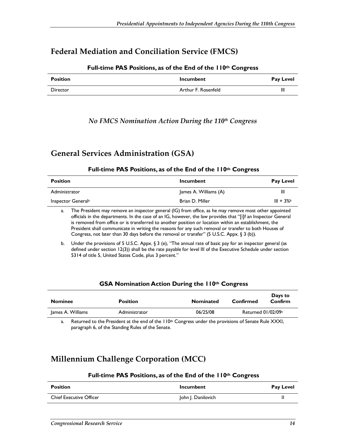### **Federal Mediation and Conciliation Service (FMCS)**

| <b>Position</b> | <b>Incumbent</b>    | <b>Pay Level</b> |
|-----------------|---------------------|------------------|
| Director        | Arthur F. Rosenfeld | Ш                |

#### **Full-time PAS Positions, as of the End of the 110th Congress**

### *No FMCS Nomination Action During the 110th Congress*

### **General Services Administration (GSA)**

#### **Full-time PAS Positions, as of the End of the 110th Congress**

| <b>Position</b>                | Incumbent             | <b>Pay Level</b> |
|--------------------------------|-----------------------|------------------|
| Administrator                  | James A. Williams (A) | Ш                |
| Inspector General <sup>a</sup> | Brian D. Miller       | $III + 3%$       |
| ______                         |                       |                  |

a. The President may remove an inspector general (IG) from office, as he may remove most other appointed officials in the departments. In the case of an IG, however, the law provides that "[i]f an Inspector General is removed from office or is transferred to another position or location within an establishment, the President shall communicate in writing the reasons for any such removal or transfer to both Houses of Congress, not later than 30 days before the removal or transfer" (5 U.S.C. Appx. § 3 (b)).

b. Under the provisions of 5 U.S.C. Appx. § 3 (e), "The annual rate of basic pay for an inspector general (as defined under section 12(3)) shall be the rate payable for level III of the Executive Schedule under section 5314 of title 5, United States Code, plus 3 percent."

#### **GSA Nomination Action During the 110th Congress**

| <b>Nominee</b>    | <b>Position</b> | <b>Nominated</b> | Confirmed          | Days to<br>Confirm |
|-------------------|-----------------|------------------|--------------------|--------------------|
| James A. Williams | Administrator   | 06/25/08         | Returned 01/02/09a |                    |

a. Returned to the President at the end of the  $110<sup>th</sup>$  Congress under the provisions of Senate Rule XXXI, paragraph 6, of the Standing Rules of the Senate.

## **Millennium Challenge Corporation (MCC)**

#### **Full-time PAS Positions, as of the End of the 110th Congress**

| <b>Position</b>                | Incumbent          | <b>Pay Level</b> |
|--------------------------------|--------------------|------------------|
| <b>Chief Executive Officer</b> | John J. Danilovich |                  |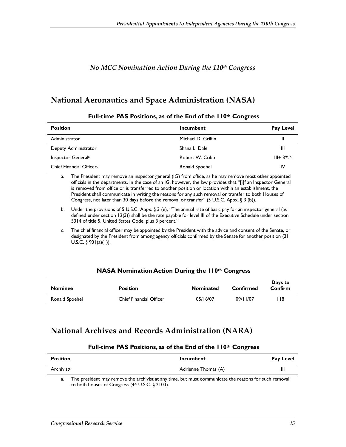### *No MCC Nomination Action During the 110th Congress*

### **National Aeronautics and Space Administration (NASA)**

| <b>Position</b>                      | Incumbent          | <b>Pay Level</b> |
|--------------------------------------|--------------------|------------------|
| Administrator                        | Michael D. Griffin | Ш                |
| Deputy Administrator                 | Shana L. Dale      | Ш                |
| Inspector General <sup>a</sup>       | Robert W. Cobb     | $III + 3%$       |
| Chief Financial Officer <sup>c</sup> | Ronald Spoehel     | IV               |

#### **Full-time PAS Positions, as of the End of the 110th Congress**

a. The President may remove an inspector general (IG) from office, as he may remove most other appointed officials in the departments. In the case of an IG, however, the law provides that "[i]f an Inspector General is removed from office or is transferred to another position or location within an establishment, the President shall communicate in writing the reasons for any such removal or transfer to both Houses of Congress, not later than 30 days before the removal or transfer" (5 U.S.C. Appx. § 3 (b)).

- b. Under the provisions of 5 U.S.C. Appx. § 3 (e), "The annual rate of basic pay for an inspector general (as defined under section 12(3)) shall be the rate payable for level III of the Executive Schedule under section 5314 of title 5, United States Code, plus 3 percent."
- c. The chief financial officer may be appointed by the President with the advice and consent of the Senate, or designated by the President from among agency officials confirmed by the Senate for another position (31 U.S.C.  $\S$  901(a)(1)).

#### **NASA Nomination Action During the 110th Congress**

| <b>Nominee</b> | <b>Position</b>                | <b>Nominated</b> | Confirmed | Days to<br>Confirm |
|----------------|--------------------------------|------------------|-----------|--------------------|
| Ronald Spoehel | <b>Chief Financial Officer</b> | 05/16/07         | 09/11/07  | ∣ 18               |

### **National Archives and Records Administration (NARA)**

#### **Full-time PAS Positions, as of the End of the 110th Congress**

| Position                                                                                                          | <b>Incumbent</b>    | <b>Pay Level</b> |
|-------------------------------------------------------------------------------------------------------------------|---------------------|------------------|
| Archivista                                                                                                        | Adrienne Thomas (A) | Ш                |
| .∓ben soot de an ook hoofde and a bedate tanger of the benefit and a complete and about the complete of the sound |                     |                  |

a. The president may remove the archivist at any time, but must communicate the reasons for such removal to both houses of Congress (44 U.S.C. § 2103).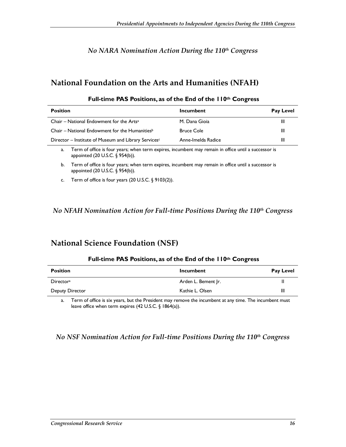### *No NARA Nomination Action During the 110th Congress*

## **National Foundation on the Arts and Humanities (NFAH)**

| <b>Position</b>                                            | Incumbent          | <b>Pay Level</b> |
|------------------------------------------------------------|--------------------|------------------|
| Chair – National Endowment for the Arts <sup>a</sup>       | M. Dana Gioja      | Ш                |
| Chair – National Endowment for the Humanities <sup>b</sup> | <b>Bruce Cole</b>  | Ш                |
| Director – Institute of Museum and Library Servicesc       | Anne-Imelda Radice | Ш                |

#### **Full-time PAS Positions, as of the End of the 110th Congress**

a. Term of office is four years; when term expires, incumbent may remain in office until a successor is appointed (20 U.S.C. § 954(b)).

b. Term of office is four years; when term expires, incumbent may remain in office until a successor is appointed (20 U.S.C. § 954(b)).

c. Term of office is four years (20 U.S.C. § 9103(2)).

### *No NFAH Nomination Action for Full-time Positions During the 110th Congress*

### **National Science Foundation (NSF)**

#### **Full-time PAS Positions, as of the End of the 110th Congress**

| <b>Position</b>        | Incumbent           | <b>Pay Level</b> |
|------------------------|---------------------|------------------|
| Director <sup>a</sup>  | Arden L. Bement Jr. | Ш                |
| <b>Deputy Director</b> | Kathie L. Olsen     | Ш                |

a. Term of office is six years, but the President may remove the incumbent at any time. The incumbent must leave office when term expires (42 U.S.C. § 1864(a)).

### *No NSF Nomination Action for Full-time Positions During the 110<sup>th</sup> Congress*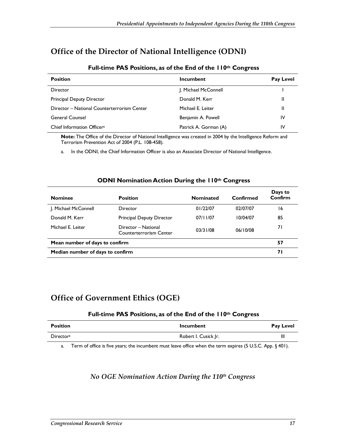## **Office of the Director of National Intelligence (ODNI)**

| <b>Position</b>                             | Incumbent             | <b>Pay Level</b> |
|---------------------------------------------|-----------------------|------------------|
| Director                                    | J. Michael McConnell  |                  |
| <b>Principal Deputy Director</b>            | Donald M. Kerr        | Ш                |
| Director - National Counterterrorism Center | Michael E. Leiter     | $\mathsf{II}$    |
| <b>General Counsel</b>                      | Benjamin A. Powell    | IV               |
| Chief Information Officer <sup>a</sup>      | Patrick A. Gorman (A) | I٧               |

#### **Full-time PAS Positions, as of the End of the 110th Congress**

**Note:** The Office of the Director of National Intelligence was created in 2004 by the Intelligence Reform and Terrorism Prevention Act of 2004 (P.L. 108-458).

a. In the ODNI, the Chief Information Officer is also an Associate Director of National Intelligence.

#### **ODNI Nomination Action During the 110th Congress**

| <b>Nominee</b>                   | <b>Position</b>                                | <b>Nominated</b> | Confirmed | Days to<br>Confirm |
|----------------------------------|------------------------------------------------|------------------|-----------|--------------------|
| J. Michael McConnell             | Director                                       | 01/22/07         | 02/07/07  | 16                 |
| Donald M. Kerr                   | Principal Deputy Director                      | 07/11/07         | 10/04/07  | 85                 |
| Michael E. Leiter                | Director - National<br>Counterterrorism Center | 03/31/08         | 06/10/08  | 71                 |
| Mean number of days to confirm   |                                                |                  |           | 57                 |
| Median number of days to confirm |                                                |                  |           | 71                 |

## **Office of Government Ethics (OGE)**

#### **Full-time PAS Positions, as of the End of the 110th Congress**

| <b>Position</b>       | <b>Incumbent</b>     | <b>Pay Level</b> |
|-----------------------|----------------------|------------------|
| Director <sup>a</sup> | Robert I. Cusick Jr. | Ш                |

a. Term of office is five years; the incumbent must leave office when the term expires (5 U.S.C. App. § 401).

### *No OGE Nomination Action During the 110th Congress*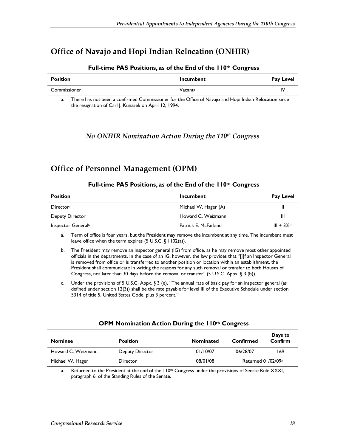### **Office of Navajo and Hopi Indian Relocation (ONHIR)**

| Position     | <b>Incumbent</b> | Pay Level |
|--------------|------------------|-----------|
| Commissioner | Vacanta          | I٧        |

#### **Full-time PAS Positions, as of the End of the 110th Congress**

a. There has not been a confirmed Commissioner for the Office of Navajo and Hopi Indian Relocation since the resignation of Carl J. Kunasek on April 12, 1994.

#### *No ONHIR Nomination Action During the 110th Congress*

### **Office of Personnel Management (OPM)**

## **Position Incumbent Pay Level and Allie Pay Level incumbent Pay Level Allie Pay Level in the Pay Level in the Pay Level in the Pay Level in the Pay Level in the Pay Level in the Pay Level in the Pay Level in the Pay Level** Director<sup>a</sup> and the matter of the Michael W. Hager (A) **III** III Deputy Director **Matter and C. Weizmann** III **Howard C. Weizmann** 111 **Inspector Generalb Patrick E. McFarland Patrick E. McFarland III** + 3% c

#### **Full-time PAS Positions, as of the End of the 110th Congress**

a. Term of office is four years, but the President may remove the incumbent at any time. The incumbent must leave office when the term expires (5 U.S.C. § 1102(a)).

b. The President may remove an inspector general (IG) from office, as he may remove most other appointed officials in the departments. In the case of an IG, however, the law provides that "[i]f an Inspector General is removed from office or is transferred to another position or location within an establishment, the President shall communicate in writing the reasons for any such removal or transfer to both Houses of Congress, not later than 30 days before the removal or transfer" (5 U.S.C. Appx. § 3 (b)).

c. Under the provisions of 5 U.S.C. Appx. § 3 (e), "The annual rate of basic pay for an inspector general (as defined under section 12(3)) shall be the rate payable for level III of the Executive Schedule under section 5314 of title 5, United States Code, plus 3 percent."

#### **OPM Nomination Action During the 110th Congress**

| <b>Nominee</b>     | <b>Position</b> | <b>Nominated</b> | Confirmed                      | Days to<br>Confirm |
|--------------------|-----------------|------------------|--------------------------------|--------------------|
| Howard C. Weizmann | Deputy Director | 01/10/07         | 06/28/07                       | 169                |
| Michael W. Hager   | Director        | 08/01/08         | Returned 01/02/09 <sup>a</sup> |                    |

a. Returned to the President at the end of the  $110<sup>th</sup>$  Congress under the provisions of Senate Rule XXXI, paragraph 6, of the Standing Rules of the Senate.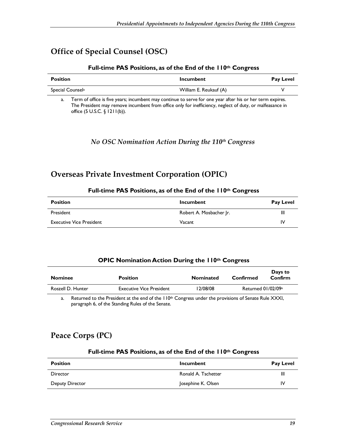## **Office of Special Counsel (OSC)**

#### **Full-time PAS Positions, as of the End of the 110th Congress**

| <b>Position</b>              | Incumbent              | <b>Pay Level</b> |
|------------------------------|------------------------|------------------|
| Special Counsel <sup>a</sup> | William E. Reukauf (A) |                  |

a. Term of office is five years; incumbent may continue to serve for one year after his or her term expires. The President may remove incumbent from office only for inefficiency, neglect of duty, or malfeasance in office (5 U.S.C. § 1211(b)).

*No OSC Nomination Action During the 110th Congress* 

### **Overseas Private Investment Corporation (OPIC)**

#### **Full-time PAS Positions, as of the End of the 110th Congress**

| <b>Position</b>                 | <b>Incumbent</b>        | <b>Pay Level</b> |
|---------------------------------|-------------------------|------------------|
| President                       | Robert A. Mosbacher Jr. | Ш                |
| <b>Executive Vice President</b> | Vacant                  | IV               |

#### **OPIC Nomination Action During the 110th Congress**

| <b>Nominee</b>    | <b>Position</b>                                                                                                    | <b>Nominated</b> | Confirmed          | Days to<br>Confirm |
|-------------------|--------------------------------------------------------------------------------------------------------------------|------------------|--------------------|--------------------|
| Roszell D. Hunter | <b>Executive Vice President</b>                                                                                    | 12/08/08         | Returned 01/02/09a |                    |
|                   | Returned to the President at the end of the $110$ <sup>th</sup> Congress under the provisions of Senate Rule XXXI. |                  |                    |                    |

a. Returned to the President at the end of the  $110<sup>th</sup>$  Congress under the provisions of Senate Rule XXXI, paragraph 6, of the Standing Rules of the Senate.

## **Peace Corps (PC)**

#### **Full-time PAS Positions, as of the End of the 110th Congress**

| <b>Position</b> | <b>Incumbent</b>    | <b>Pay Level</b> |
|-----------------|---------------------|------------------|
| Director        | Ronald A. Tschetter | Ш                |
| Deputy Director | Josephine K. Olsen  | IV               |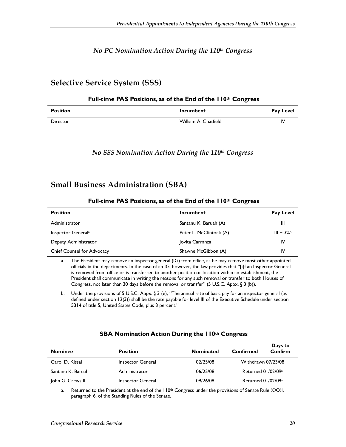### *No PC Nomination Action During the 110th Congress*

### **Selective Service System (SSS)**

#### **Full-time PAS Positions, as of the End of the 110th Congress**

| <b>Position</b> | <b>Incumbent</b>     | <b>Pay Level</b> |
|-----------------|----------------------|------------------|
| <b>Director</b> | William A. Chatfield | ı٧               |

#### *No SSS Nomination Action During the 110th Congress*

### **Small Business Administration (SBA)**

#### **Full-time PAS Positions, as of the End of the 110th Congress**

| <b>Position</b>                   | Incumbent               | Pay Level  |
|-----------------------------------|-------------------------|------------|
| Administrator                     | Santanu K. Baruah (A)   | Ш          |
| Inspector General <sup>a</sup>    | Peter L. McClintock (A) | $III + 3%$ |
| Deputy Administrator              | Jovita Carranza         | IV         |
| <b>Chief Counsel for Advocacy</b> | Shawne McGibbon (A)     | <b>IV</b>  |

a. The President may remove an inspector general (IG) from office, as he may remove most other appointed officials in the departments. In the case of an IG, however, the law provides that "[i]f an Inspector General is removed from office or is transferred to another position or location within an establishment, the President shall communicate in writing the reasons for any such removal or transfer to both Houses of Congress, not later than 30 days before the removal or transfer" (5 U.S.C. Appx. § 3 (b)).

b. Under the provisions of 5 U.S.C. Appx. § 3 (e), "The annual rate of basic pay for an inspector general (as defined under section 12(3)) shall be the rate payable for level III of the Executive Schedule under section 5314 of title 5, United States Code, plus 3 percent."

#### **SBA Nomination Action During the 110th Congress**

| <b>Nominee</b>    | <b>Position</b>   | <b>Nominated</b> | Days to<br>Confirm<br>Confirmed |
|-------------------|-------------------|------------------|---------------------------------|
| Carol D. Kissal   | Inspector General | 02/25/08         | Withdrawn 07/23/08              |
| Santanu K. Baruah | Administrator     | 06/25/08         | Returned 01/02/09 <sup>a</sup>  |
| John G. Crews II  | Inspector General | 09/26/08         | Returned 01/02/09 <sup>a</sup>  |

a. Returned to the President at the end of the 110<sup>th</sup> Congress under the provisions of Senate Rule XXXI, paragraph 6, of the Standing Rules of the Senate.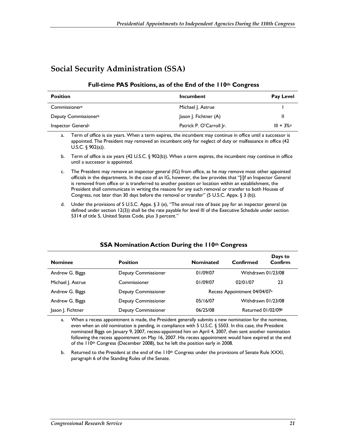## **Social Security Administration (SSA)**

#### **Full-time PAS Positions, as of the End of the 110th Congress**

| <b>Position</b>                  | Incumbent                | Pay Level                |
|----------------------------------|--------------------------|--------------------------|
| Commissioner <sup>a</sup>        | Michael J. Astrue        |                          |
| Deputy Commissioner <sup>b</sup> | Jason J. Fichtner (A)    | Ш                        |
| Inspector General <sup>c</sup>   | Patrick P. O'Carroll Ir. | $III + 3\%$ <sup>d</sup> |

a. Term of office is six years. When a term expires, the incumbent may continue in office until a successor is appointed. The President may removed an incumbent only for neglect of duty or malfeasance in office (42 U.S.C.  $\S$  902(a)).

b. Term of office is six years (42 U.S.C. § 902(b)). When a term expires, the incumbent may continue in office until a successor is appointed.

c. The President may remove an inspector general (IG) from office, as he may remove most other appointed officials in the departments. In the case of an IG, however, the law provides that "[i]f an Inspector General is removed from office or is transferred to another position or location within an establishment, the President shall communicate in writing the reasons for any such removal or transfer to both Houses of Congress, not later than 30 days before the removal or transfer" (5 U.S.C. Appx. § 3 (b)).

d. Under the provisions of 5 U.S.C. Appx. § 3 (e), "The annual rate of basic pay for an inspector general (as defined under section 12(3)) shall be the rate payable for level III of the Executive Schedule under section 5314 of title 5, United States Code, plus 3 percent."

#### **SSA Nomination Action During the 110th Congress**

| <b>Nominee</b>    | <b>Position</b>            | <b>Nominated</b>                         | Confirmed          | Days to<br>Confirm |
|-------------------|----------------------------|------------------------------------------|--------------------|--------------------|
| Andrew G. Biggs   | <b>Deputy Commissioner</b> | 01/09/07                                 | Withdrawn 01/23/08 |                    |
| Michael J. Astrue | Commissioner               | 01/09/07                                 | 02/01/07           | 23                 |
| Andrew G. Biggs   | <b>Deputy Commissioner</b> | Recess Appointment 04/04/07 <sup>a</sup> |                    |                    |
| Andrew G. Biggs   | <b>Deputy Commissioner</b> | 05/16/07                                 | Withdrawn 01/23/08 |                    |
| Jason J. Fichtner | <b>Deputy Commissioner</b> | 06/25/08                                 | Returned 01/02/09b |                    |

a. When a recess appointment is made, the President generally submits a new nomination for the nominee, even when an old nomination is pending, in compliance with 5 U.S.C. § 5503. In this case, the President nominated Biggs on January 9, 2007, recess-appointed him on April 4, 2007, then sent another nomination following the recess appointment on May 16, 2007. His recess appointment would have expired at the end of the 110<sup>th</sup> Congress (December 2008), but he left the position early in 2008.

b. Returned to the President at the end of the  $110<sup>th</sup>$  Congress under the provisions of Senate Rule XXXI, paragraph 6 of the Standing Rules of the Senate.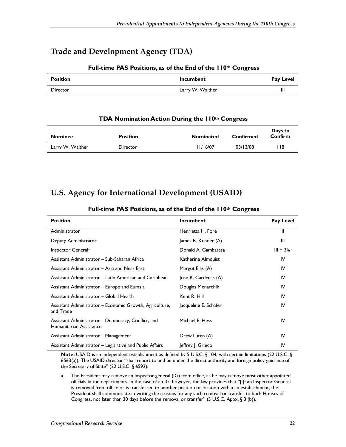## **Trade and Development Agency (TDA)**

#### **Full-time PAS Positions, as of the End of the 110th Congress**

| <b>Position</b> | <b>Incumbent</b> | Pay Level |
|-----------------|------------------|-----------|
| Director        | Larry W. Walther | Ш         |

#### **TDA Nomination Action During the 110th Congress**

| <b>Nominee</b>   | <b>Position</b> | <b>Nominated</b> | Confirmed | Days to<br>Confirm |
|------------------|-----------------|------------------|-----------|--------------------|
| Larry W. Walther | <b>Director</b> | 1/16/07          | 03/13/08  | l 18               |

### **U.S. Agency for International Development (USAID)**

| <b>Position</b>                                                               | <b>Incumbent</b>      | <b>Pay Level</b> |
|-------------------------------------------------------------------------------|-----------------------|------------------|
| Administrator                                                                 | Henrietta H. Fore     | Ш                |
| Deputy Administrator                                                          | James R. Kunder (A)   | Ш                |
| Inspector General <sup>a</sup>                                                | Donald A. Gambatesa   | $III + 3%$       |
| Assistant Administrator – Sub-Saharan Africa                                  | Katherine Almquist    | IV               |
| Assistant Administrator – Asia and Near East                                  | Margot Ellis (A)      | IV               |
| Assistant Administrator – Latin American and Caribbean                        | Jose R. Cardenas (A)  | IV               |
| Assistant Administrator - Europe and Eurasia                                  | Douglas Menarchik     | IV               |
| Assistant Administrator - Global Health                                       | Kent R. Hill          | IV               |
| Assistant Administrator - Economic Growth, Agriculture,<br>and Trade          | Jacqueline E. Schafer | IV               |
| Assistant Administrator - Democracy, Conflict, and<br>Humanitarian Assistance | Michael E. Hess       | IV               |
| Assistant Administrator - Management                                          | Drew Luten (A)        | IV               |
| Assistant Administrator - Legislative and Public Affairs                      | Jeffrey J. Grieco     | IV               |

#### **Full-time PAS Positions, as of the End of the 110th Congress**

**Note:** USAID is an independent establishment as defined by 5 U.S.C. § 104, with certain limitations (22 U.S.C. § 6563(a)). The USAID director "shall report to and be under the direct authority and foreign policy guidance of the Secretary of State" (22 U.S.C. § 6592).

a. The President may remove an inspector general (IG) from office, as he may remove most other appointed officials in the departments. In the case of an IG, however, the law provides that "[i]f an Inspector General is removed from office or is transferred to another position or location within an establishment, the President shall communicate in writing the reasons for any such removal or transfer to both Houses of Congress, not later than 30 days before the removal or transfer" (5 U.S.C. Appx. § 3 (b)).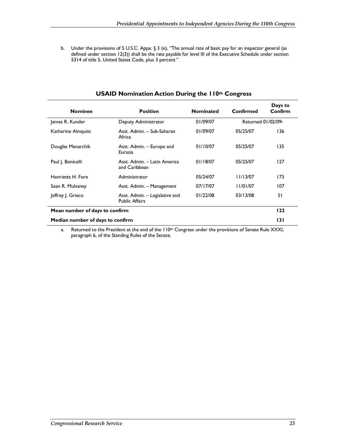b. Under the provisions of 5 U.S.C. Appx. § 3 (e), "The annual rate of basic pay for an inspector general (as defined under section 12(3)) shall be the rate payable for level III of the Executive Schedule under section 5314 of title 5, United States Code, plus 3 percent."

| <b>Nominee</b>                   | <b>Position</b>                                         | <b>Nominated</b> | Confirmed          | Days to<br>Confirm |
|----------------------------------|---------------------------------------------------------|------------------|--------------------|--------------------|
| James R. Kunder                  | Deputy Administrator                                    | 01/09/07         | Returned 01/02/09a |                    |
| Katherine Almquist               | Asst. Admin. - Sub-Saharan<br>Africa                    | 01/09/07         | 05/25/07           | 136                |
| Douglas Menarchik                | Asst. Admin. - Europe and<br>Eurasia                    | 01/10/07         | 05/25/07           | 135                |
| Paul J. Bonicelli                | Asst. Admin. - Latin America<br>and Caribbean           | 01/18/07         | 05/25/07           | 127                |
| Henrietta H. Fore                | Administrator                                           | 05/24/07         | 11/13/07           | 173                |
| Sean R. Mulvaney                 | Asst. Admin. - Management                               | 07/17/07         | 11/01/07           | 107                |
| Jeffrey J. Grieco                | Asst. Admin. - Legislative and<br><b>Public Affairs</b> | 01/22/08         | 03/13/08           | 51                 |
| Mean number of days to confirm   |                                                         |                  | 122                |                    |
| Median number of days to confirm |                                                         |                  | 131                |                    |

#### **USAID Nomination Action During the 110th Congress**

a. Returned to the President at the end of the 110<sup>th</sup> Congress under the provisions of Senate Rule XXXI, paragraph 6, of the Standing Rules of the Senate.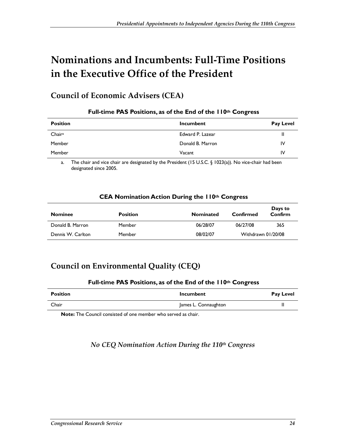# **Nominations and Incumbents: Full-Time Positions in the Executive Office of the President**

## **Council of Economic Advisers (CEA)**

| <b>Position</b>    | <b>Incumbent</b> | <b>Pay Level</b> |
|--------------------|------------------|------------------|
| Chair <sup>a</sup> | Edward P. Lazear | Ш                |
| Member             | Donald B. Marron | 1V               |
| Member             | Vacant           | 1V               |

#### **Full-time PAS Positions, as of the End of the 110th Congress**

a. The chair and vice chair are designated by the President (15 U.S.C. § 1023(a)). No vice-chair had been designated since 2005.

#### **CEA Nomination Action During the 110th Congress**

| <b>Nominee</b>    | <b>Position</b> | <b>Nominated</b> | Confirmed          | Days to<br>Confirm |
|-------------------|-----------------|------------------|--------------------|--------------------|
| Donald B. Marron  | Member          | 06/28/07         | 06/27/08           | 365                |
| Dennis W. Carlton | Member          | 08/02/07         | Withdrawn 01/20/08 |                    |

## **Council on Environmental Quality (CEQ)**

#### **Full-time PAS Positions, as of the End of the 110th Congress**

| <b>Position</b> | <b>Incumbent</b>     | <b>Pay Level</b> |
|-----------------|----------------------|------------------|
| Chair           | James L. Connaughton | Ш                |

**Note:** The Council consisted of one member who served as chair.

### *No CEQ Nomination Action During the 110th Congress*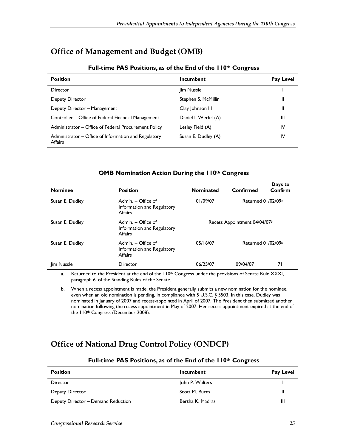### **Office of Management and Budget (OMB)**

| <b>Position</b>                                                        | Incumbent            | <b>Pay Level</b> |
|------------------------------------------------------------------------|----------------------|------------------|
| <b>Director</b>                                                        | lim Nussle           |                  |
| Deputy Director                                                        | Stephen S. McMillin  | Ш                |
| Deputy Director - Management                                           | Clay Johnson III     | <sup>11</sup>    |
| Controller – Office of Federal Financial Management                    | Daniel I. Werfel (A) | Ш                |
| Administrator – Office of Federal Procurement Policy                   | Lesley Field (A)     | IV               |
| Administrator – Office of Information and Regulatory<br><b>Affairs</b> | Susan E. Dudley (A)  | IV               |

#### **Full-time PAS Positions, as of the End of the 110th Congress**

#### **OMB Nomination Action During the 110th Congress**

| <b>Nominee</b>    | <b>Position</b>                                               | <b>Nominated</b>             | Confirmed          | Days to<br>Confirm |
|-------------------|---------------------------------------------------------------|------------------------------|--------------------|--------------------|
| Susan E. Dudley   | Admin. - Office of<br>Information and Regulatory<br>Affairs   | 01/09/07                     | Returned 01/02/09a |                    |
| Susan E. Dudley   | Admin. $-$ Office of<br>Information and Regulatory<br>Affairs | Recess Appointment 04/04/07b |                    |                    |
| Susan E. Dudley   | Admin. - Office of<br>Information and Regulatory<br>Affairs   | 05/16/07                     | Returned 01/02/09a |                    |
| <b>Jim Nussle</b> | Director                                                      | 06/25/07                     | 09/04/07           | 71                 |

a. Returned to the President at the end of the  $110<sup>th</sup>$  Congress under the provisions of Senate Rule XXXI, paragraph 6, of the Standing Rules of the Senate.

b. When a recess appointment is made, the President generally submits a new nomination for the nominee, even when an old nomination is pending, in compliance with 5 U.S.C. § 5503. In this case, Dudley was nominated in January of 2007 and recess-appointed in April of 2007. The President then submitted another nomination following the recess appointment in May of 2007. Her recess appointment expired at the end of the 110<sup>th</sup> Congress (December 2008).

## **Office of National Drug Control Policy (ONDCP)**

| <b>Position</b>                    | <b>Incumbent</b> | Pay Level |
|------------------------------------|------------------|-----------|
| Director                           | John P. Walters  |           |
| Deputy Director                    | Scott M. Burns   | Ш         |
| Deputy Director - Demand Reduction | Bertha K. Madras | Ш         |

#### **Full-time PAS Positions, as of the End of the 110th Congress**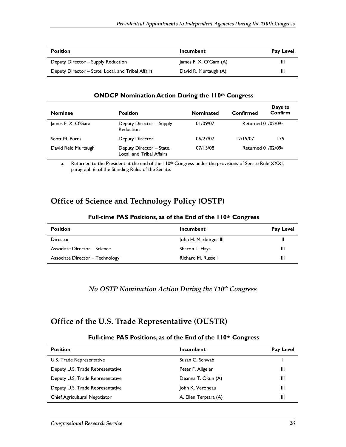| <b>Position</b>                                    | Incumbent              | <b>Pay Level</b> |
|----------------------------------------------------|------------------------|------------------|
| Deputy Director – Supply Reduction                 | James F. X. O'Gara (A) | Ш                |
| Deputy Director – State, Local, and Tribal Affairs | David R. Murtaugh (A)  | Ш                |

#### **ONDCP Nomination Action During the 110th Congress**

| <b>Nominee</b>      | <b>Position</b>                                       | <b>Nominated</b> | Confirmed                      | Days to<br>Confirm |
|---------------------|-------------------------------------------------------|------------------|--------------------------------|--------------------|
| James F. X. O'Gara  | Deputy Director - Supply<br>Reduction                 | 01/09/07         | Returned 01/02/09 <sup>a</sup> |                    |
| Scott M. Burns      | Deputy Director                                       | 06/27/07         | 12/19/07                       | 175                |
| David Reid Murtaugh | Deputy Director - State,<br>Local, and Tribal Affairs | 07/15/08         | Returned 01/02/09a             |                    |

a. Returned to the President at the end of the 110<sup>th</sup> Congress under the provisions of Senate Rule XXXI, paragraph 6, of the Standing Rules of the Senate.

### **Office of Science and Technology Policy (OSTP)**

#### **Full-time PAS Positions, as of the End of the 110th Congress**

| <b>Position</b>                 | Incumbent             | <b>Pay Level</b> |
|---------------------------------|-----------------------|------------------|
| Director                        | John H. Marburger III | Ш                |
| Associate Director – Science    | Sharon L. Hays        | Ш                |
| Associate Director - Technology | Richard M. Russell    | Ш                |

#### *No OSTP Nomination Action During the 110th Congress*

### **Office of the U.S. Trade Representative (OUSTR)**

#### **Full-time PAS Positions, as of the End of the 110th Congress**

| <b>Position</b>                  | Incumbent             | <b>Pay Level</b> |
|----------------------------------|-----------------------|------------------|
| U.S. Trade Representative        | Susan C. Schwab       |                  |
| Deputy U.S. Trade Representative | Peter F. Allgeier     | Ш                |
| Deputy U.S. Trade Representative | Deanna T. Okun (A)    | Ш                |
| Deputy U.S. Trade Representative | John K. Veroneau      | Ш                |
| Chief Agricultural Negotiator    | A. Ellen Terpstra (A) | Ш                |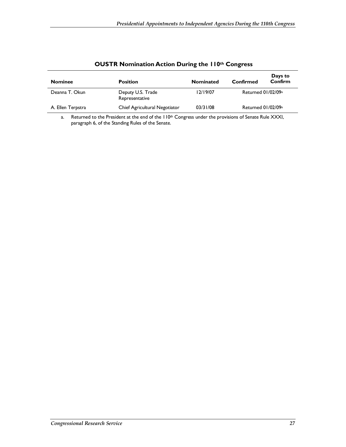| <b>Nominee</b>    | <b>Position</b>                     | <b>Nominated</b> | Confirmed                      | Days to<br>Confirm |
|-------------------|-------------------------------------|------------------|--------------------------------|--------------------|
| Deanna T. Okun    | Deputy U.S. Trade<br>Representative | 12/19/07         | Returned 01/02/09 <sup>a</sup> |                    |
| A. Ellen Terpstra | Chief Agricultural Negotiator       | 03/31/08         | Returned 01/02/09 <sup>a</sup> |                    |

### **OUSTR Nomination Action During the 110th Congress**

a. Returned to the President at the end of the  $110<sup>th</sup>$  Congress under the provisions of Senate Rule XXXI, paragraph 6, of the Standing Rules of the Senate.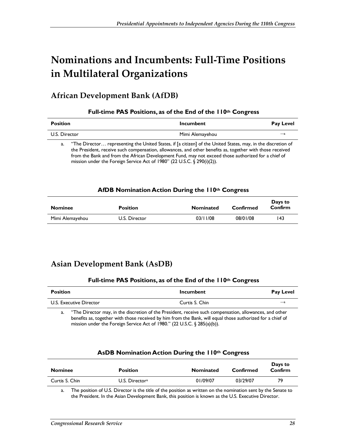# **Nominations and Incumbents: Full-Time Positions in Multilateral Organizations**

## **African Development Bank (AfDB)**

#### **Full-time PAS Positions, as of the End of the 110th Congress**

| <b>Position</b> |                                                                                                                                                                                                                                                                                                                                                                                                                | <b>Incumbent</b> | <b>Pay Level</b> |
|-----------------|----------------------------------------------------------------------------------------------------------------------------------------------------------------------------------------------------------------------------------------------------------------------------------------------------------------------------------------------------------------------------------------------------------------|------------------|------------------|
| U.S. Director   |                                                                                                                                                                                                                                                                                                                                                                                                                | Mimi Alemayehou  | $-a$             |
| a.              | "The Director representing the United States, if [a citizen] of the United States, may, in the discretion of<br>the President, receive such compensation, allowances, and other benefits as, together with those received<br>from the Bank and from the African Development Fund, may not exceed those authorized for a chief of<br>mission under the Foreign Service Act of 1980" (22 U.S.C. $\S$ 290(i)(2)). |                  |                  |

#### **AfDB Nomination Action During the 110th Congress**

| <b>Nominee</b>  | <b>Position</b> | <b>Nominated</b> | Confirmed | Days to<br>Confirm |
|-----------------|-----------------|------------------|-----------|--------------------|
| Mimi Alemayehou | U.S. Director   | 03/11/08         | 08/01/08  | 143                |

## **Asian Development Bank (AsDB)**

#### **Full-time PAS Positions, as of the End of the 110th Congress**

| <b>Position</b>                                                                                         | Incumbent      | <b>Pay Level</b> |
|---------------------------------------------------------------------------------------------------------|----------------|------------------|
| U.S. Executive Director                                                                                 | Curtis S. Chin | —а               |
| "The Director may, in the discretion of the President, receive such compensation, allowances, and other |                |                  |

benefits as, together with those received by him from the Bank, will equal those authorized for a chief of mission under the Foreign Service Act of 1980." (22 U.S.C. § 285(a)(b)).

#### **AsDB Nomination Action During the 110th Congress**

| <b>Nominee</b> | <b>Position</b>              | <b>Nominated</b> | Confirmed | Days to<br>Confirm |
|----------------|------------------------------|------------------|-----------|--------------------|
| Curtis S. Chin | $U.S.$ Director <sup>a</sup> | 01/09/07         | 03/29/07  | 79                 |
|                |                              |                  |           |                    |

a. The position of U.S. Director is the title of the position as written on the nomination sent by the Senate to the President. In the Asian Development Bank, this position is known as the U.S. Executive Director.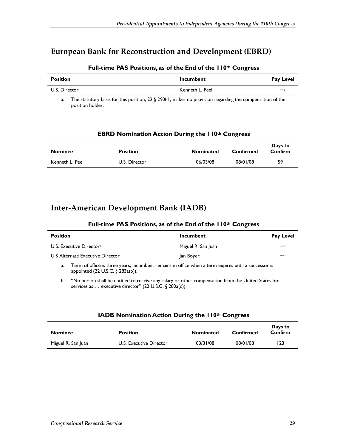### **European Bank for Reconstruction and Development (EBRD)**

| <b>Position</b> | Incumbent       | Pay Level     |
|-----------------|-----------------|---------------|
| U.S. Director   | Kenneth L. Peel | $\rightarrow$ |

#### **Full-time PAS Positions, as of the End of the 110th Congress**

a. The statutory basis for this position, 22 § 290*l*-1, makes no provision regarding the compensation of the position holder.

| <b>EBRD Nomination Action During the 110th Congress</b> |  |
|---------------------------------------------------------|--|
|---------------------------------------------------------|--|

| <b>Nominee</b>  | <b>Position</b> | <b>Nominated</b> | Confirmed | Days to<br>Confirm |
|-----------------|-----------------|------------------|-----------|--------------------|
| Kenneth L. Peel | U.S. Director   | 06/03/08         | 08/01/08  | 59                 |

### **Inter-American Development Bank (IADB)**

#### **Full-time PAS Positions, as of the End of the 110th Congress**

| <b>Position</b>                      | Incumbent          | Pay Level |
|--------------------------------------|--------------------|-----------|
| U.S. Executive Director <sup>a</sup> | Miguel R. San Juan | — b       |
| U.S Alternate Executive Director     | Jan Boyer          | — h       |
|                                      |                    |           |

a. Term of office is three years; incumbent remains in office when a term expires until a successor is appointed (22 U.S.C. § 283a(b)).

b. "No person shall be entitled to receive any salary or other compensation from the United States for services as ... executive director" (22 U.S.C. § 283a(c)).

#### **IADB Nomination Action During the 110th Congress**

| <b>Nominee</b>     | <b>Position</b>         | <b>Nominated</b> | Confirmed | Days to<br>Confirm |
|--------------------|-------------------------|------------------|-----------|--------------------|
| Miguel R. San Juan | U.S. Executive Director | 03/31/08         | 08/01/08  | 123                |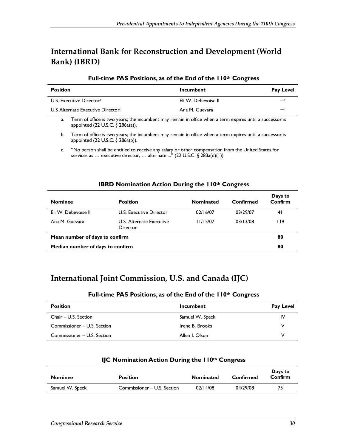## **International Bank for Reconstruction and Development (World Bank) (IBRD)**

#### **Full-time PAS Positions, as of the End of the 110th Congress**

| <b>Position</b>                               | Incumbent           | <b>Pay Level</b> |
|-----------------------------------------------|---------------------|------------------|
| U.S. Executive Director <sup>a</sup>          | Eli W. Debevoise II | $-c$             |
| U.S Alternate Executive Director <sup>b</sup> | Ana M. Guevara      | $-c$             |
|                                               |                     |                  |

a. Term of office is two years; the incumbent may remain in office when a term expires until a successor is appointed (22 U.S.C. § 286a(a)).

#### **IBRD Nomination Action During the 110th Congress**

| <b>Nominee</b>                   | <b>Position</b>                      | <b>Nominated</b> | Confirmed | Days to<br>Confirm |
|----------------------------------|--------------------------------------|------------------|-----------|--------------------|
| Eli W. Debevoise II              | U.S. Executive Director              | 02/16/07         | 03/29/07  | 41                 |
| Ana M. Guevara                   | U.S. Alternate Executive<br>Director | 11/15/07         | 03/13/08  | I 19               |
| Mean number of days to confirm   |                                      |                  | 80        |                    |
| Median number of days to confirm |                                      |                  |           | 80                 |

## **International Joint Commission, U.S. and Canada (IJC)**

#### **Full-time PAS Positions, as of the End of the 110th Congress**

| <b>Position</b>             | Incumbent       | <b>Pay Level</b> |
|-----------------------------|-----------------|------------------|
| Chair – U.S. Section        | Samuel W. Speck | IV               |
| Commissioner – U.S. Section | Irene B. Brooks | v                |
| Commissioner - U.S. Section | Allen I. Olson  | v                |

| <b>Nominee</b>  | <b>Position</b>             | <b>Nominated</b> | Confirmed | Days to<br>Confirm |
|-----------------|-----------------------------|------------------|-----------|--------------------|
| Samuel W. Speck | Commissioner – U.S. Section | 02/14/08         | 04/29/08  | 75                 |

#### **IJC Nomination Action During the 110th Congress**

b. Term of office is two years; the incumbent may remain in office when a term expires until a successor is appointed (22 U.S.C. § 286a(b)).

c. "No person shall be entitled to receive any salary or other compensation from the United States for services as ... executive director, ... alternate ..." (22 U.S.C. § 283a(d)(1)).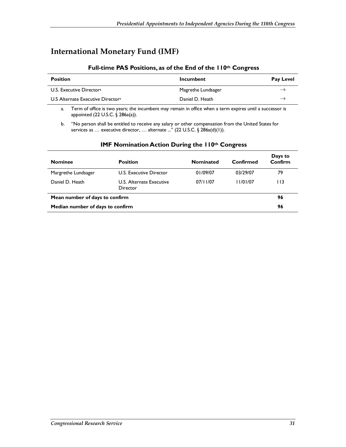## **International Monetary Fund (IMF)**

#### **Full-time PAS Positions, as of the End of the 110th Congress**

| Incumbent          | <b>Pay Level</b> |
|--------------------|------------------|
| Magrethe Lundsager | $\rightarrow$    |
| Daniel D. Heath    | — b              |
|                    |                  |

a. Term of office is two years; the incumbent may remain in office when a term expires until a successor is appointed (22 U.S.C. § 286a(a)).

b. "No person shall be entitled to receive any salary or other compensation from the United States for services as ... executive director, ... alternate ..." (22 U.S.C. § 286a(d)(1)).

| <b>Nominee</b>                   | <b>Position</b>                      | <b>Nominated</b> | Confirmed | Days to<br>Confirm |
|----------------------------------|--------------------------------------|------------------|-----------|--------------------|
| Margrethe Lundsager              | U.S. Executive Director              | 01/09/07         | 03/29/07  | 79                 |
| Daniel D. Heath                  | U.S. Alternate Executive<br>Director | 07/11/07         | 11/01/07  | I I 3              |
| Mean number of days to confirm   |                                      |                  | 96        |                    |
| Median number of days to confirm |                                      |                  | 96        |                    |

#### **IMF Nomination Action During the 110th Congress**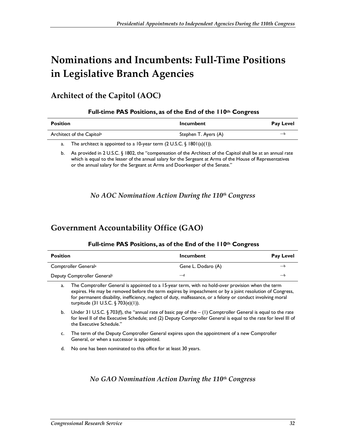# **Nominations and Incumbents: Full-Time Positions in Legislative Branch Agencies**

## **Architect of the Capitol (AOC)**

|  |  | Full-time PAS Positions, as of the End of the 110th Congress |  |
|--|--|--------------------------------------------------------------|--|
|--|--|--------------------------------------------------------------|--|

| <b>Position</b>                       | Incumbent            | <b>Pay Level</b> |
|---------------------------------------|----------------------|------------------|
| Architect of the Capitol <sup>a</sup> | Stephen T. Ayers (A) | —t               |
|                                       |                      |                  |

a. The architect is appointed to a 10-year term (2 U.S.C. § 1801(a)(1)).

b. As provided in 2 U.S.C. § 1802, the "compensation of the Architect of the Capitol shall be at an annual rate which is equal to the lesser of the annual salary for the Sergeant at Arms of the House of Representatives or the annual salary for the Sergeant at Arms and Doorkeeper of the Senate."

*No AOC Nomination Action During the 110th Congress* 

## **Government Accountability Office (GAO)**

| <b>Position</b>                         | Incumbent          | Pay Level |
|-----------------------------------------|--------------------|-----------|
| Comptroller General <sup>a</sup>        | Gene L. Dodaro (A) | —t        |
| Deputy Comptroller General <sup>c</sup> | —d                 | -         |

#### **Full-time PAS Positions, as of the End of the 110th Congress**

a. The Comptroller General is appointed to a 15-year term, with no hold-over provision when the term expires. He may be removed before the term expires by impeachment or by a joint resolution of Congress, for permanent disability, inefficiency, neglect of duty, malfeasance, or a felony or conduct involving moral turpitude (31 U.S.C. § 703(e)(1)).

b. Under 31 U.S.C. § 703(f), the "annual rate of basic pay of the  $-$  (1) Comptroller General is equal to the rate for level II of the Executive Schedule; and (2) Deputy Comptroller General is equal to the rate for level III of the Executive Schedule."

c. The term of the Deputy Comptroller General expires upon the appointment of a new Comptroller General, or when a successor is appointed.

d. No one has been nominated to this office for at least 30 years.

### *No GAO Nomination Action During the 110th Congress*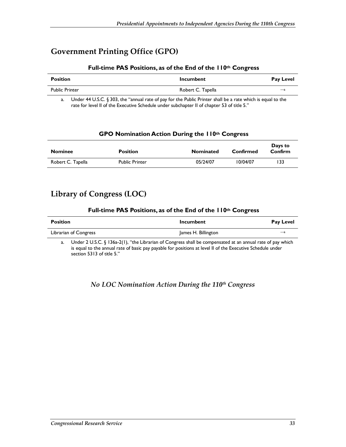## **Government Printing Office (GPO)**

#### **Full-time PAS Positions, as of the End of the 110th Congress**

| <b>Position</b>       | Incumbent         | <b>Pay Level</b> |
|-----------------------|-------------------|------------------|
| <b>Public Printer</b> | Robert C. Tapella | $\rightarrow$    |

a. Under 44 U.S.C. § 303, the "annual rate of pay for the Public Printer shall be a rate which is equal to the rate for level II of the Executive Schedule under subchapter II of chapter 53 of title 5."

#### **GPO Nomination Action During the 110th Congress**

| <b>Nominee</b>    | <b>Position</b>       | <b>Nominated</b> | Confirmed | Days to<br>Confirm |
|-------------------|-----------------------|------------------|-----------|--------------------|
| Robert C. Tapella | <b>Public Printer</b> | 05/24/07         | 10/04/07  | 133                |

### **Library of Congress (LOC)**

#### **Full-time PAS Positions, as of the End of the 110th Congress**

| <b>Position</b>                                                                                                                                                        | Incumbent           | <b>Pay Level</b> |
|------------------------------------------------------------------------------------------------------------------------------------------------------------------------|---------------------|------------------|
| Librarian of Congress                                                                                                                                                  | James H. Billington | $\rightarrow$    |
| $\Box$ lnder $2 \angle 1 \angle 5$ $\angle 6$ $\angle 3$ $\angle 2$ $\angle 1$ $\angle$ "the Librarian of Congress shall be compensated at an annual rate of pay which |                     |                  |

Under 2 U.S.C. § 136a-2(1), "the Librarian of Congress shall be compensated at an annual rate of pay which is equal to the annual rate of basic pay payable for positions at level II of the Executive Schedule under section 5313 of title 5."

#### *No LOC Nomination Action During the 110th Congress*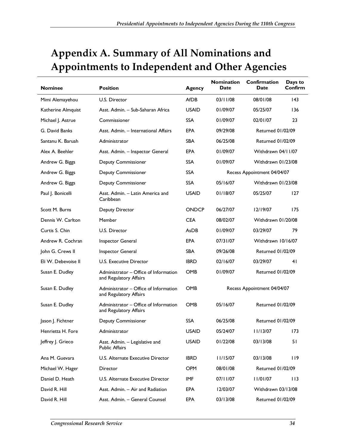# **Appendix A. Summary of All Nominations and Appointments to Independent and Other Agencies**

| <b>Nominee</b>      | <b>Position</b>                                                 | <b>Agency</b> | <b>Nomination</b><br>Date   | Confirmation<br>Date        | Days to<br>Confirm |
|---------------------|-----------------------------------------------------------------|---------------|-----------------------------|-----------------------------|--------------------|
| Mimi Alemayehou     | U.S. Director                                                   | <b>AfDB</b>   | 03/11/08                    | 08/01/08                    | 143                |
| Katherine Almquist  | Asst. Admin. - Sub-Saharan Africa                               | <b>USAID</b>  | 01/09/07                    | 05/25/07                    | 136                |
| Michael J. Astrue   | Commissioner                                                    | <b>SSA</b>    | 01/09/07                    | 02/01/07                    | 23                 |
| G. David Banks      | Asst. Admin. - International Affairs                            | <b>EPA</b>    | 09/29/08                    | <b>Returned 01/02/09</b>    |                    |
| Santanu K. Baruah   | Administrator                                                   | <b>SBA</b>    | 06/25/08                    | <b>Returned 01/02/09</b>    |                    |
| Alex A. Beehler     | Asst. Admin. - Inspector General                                | EPA           | 01/09/07                    | Withdrawn 04/11/07          |                    |
| Andrew G. Biggs     | <b>Deputy Commissioner</b>                                      | SSA           | 01/09/07                    | Withdrawn 01/23/08          |                    |
| Andrew G. Biggs     | <b>Deputy Commissioner</b>                                      | <b>SSA</b>    |                             | Recess Appointment 04/04/07 |                    |
| Andrew G. Biggs     | <b>Deputy Commissioner</b>                                      | <b>SSA</b>    | 05/16/07                    | Withdrawn 01/23/08          |                    |
| Paul J. Bonicelli   | Asst. Admin. - Latin America and<br>Caribbean                   | <b>USAID</b>  | 01/18/07                    | 05/25/07                    | 127                |
| Scott M. Burns      | Deputy Director                                                 | <b>ONDCP</b>  | 06/27/07                    | 12/19/07                    | 175                |
| Dennis W. Carlton   | Member                                                          | <b>CEA</b>    | 08/02/07                    | Withdrawn 01/20/08          |                    |
| Curtis S. Chin      | U.S. Director                                                   | AsDB          | 01/09/07                    | 03/29/07                    | 79                 |
| Andrew R. Cochran   | Inspector General                                               | EPA           | 07/31/07                    | Withdrawn 10/16/07          |                    |
| John G. Crews II    | Inspector General                                               | <b>SBA</b>    | 09/26/08                    | <b>Returned 01/02/09</b>    |                    |
| Eli W. Debevoise II | U.S. Executive Director                                         | <b>IBRD</b>   | 02/16/07                    | 03/29/07                    | 41                 |
| Susan E. Dudley     | Administrator - Office of Information<br>and Regulatory Affairs | <b>OMB</b>    | 01/09/07                    | <b>Returned 01/02/09</b>    |                    |
| Susan E. Dudley     | Administrator - Office of Information<br>and Regulatory Affairs | <b>OMB</b>    | Recess Appointment 04/04/07 |                             |                    |
| Susan E. Dudley     | Administrator - Office of Information<br>and Regulatory Affairs | <b>OMB</b>    | 05/16/07                    | <b>Returned 01/02/09</b>    |                    |
| Jason J. Fichtner   | <b>Deputy Commissioner</b>                                      | <b>SSA</b>    | 06/25/08                    | <b>Returned 01/02/09</b>    |                    |
| Henrietta H. Fore   | Administrator                                                   | <b>USAID</b>  | 05/24/07                    | 11/13/07                    | 173                |
| Jeffrey J. Grieco   | Asst. Admin. - Legislative and<br><b>Public Affairs</b>         | <b>USAID</b>  | 01/22/08                    | 03/13/08                    | 51                 |
| Ana M. Guevara      | U.S. Alternate Executive Director                               | <b>IBRD</b>   | 11/15/07                    | 03/13/08                    | 119                |
| Michael W. Hager    | Director                                                        | OPM           | 08/01/08                    | Returned 01/02/09           |                    |
| Daniel D. Heath     | U.S. Alternate Executive Director                               | IMF           | 07/11/07                    | 11/01/07                    | I I 3              |
| David R. Hill       | Asst. Admin. - Air and Radiation                                | EPA           | 12/03/07                    | Withdrawn 03/13/08          |                    |
| David R. Hill       | Asst. Admin. - General Counsel                                  | EPA           | 03/13/08                    | Returned 01/02/09           |                    |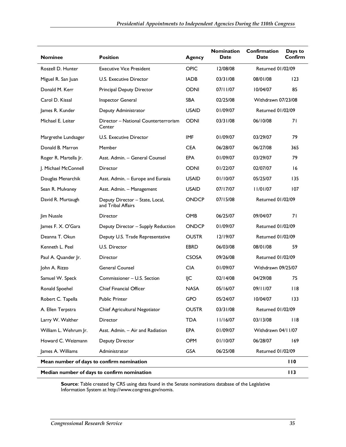| <b>Nominee</b>                                     | <b>Position</b>                                       | Agency       | <b>Nomination</b><br>Date | Confirmation<br>Date     | Days to<br>Confirm |
|----------------------------------------------------|-------------------------------------------------------|--------------|---------------------------|--------------------------|--------------------|
| Roszell D. Hunter                                  | <b>Executive Vice President</b>                       | <b>OPIC</b>  | 12/08/08                  | <b>Returned 01/02/09</b> |                    |
| Miguel R. San Juan                                 | <b>U.S. Executive Director</b>                        | <b>IADB</b>  | 03/31/08                  | 08/01/08                 | 123                |
| Donald M. Kerr                                     | Principal Deputy Director                             | <b>ODNI</b>  | 07/11/07                  | 10/04/07                 | 85                 |
| Carol D. Kissal                                    | Inspector General                                     | <b>SBA</b>   | 02/25/08                  | Withdrawn 07/23/08       |                    |
| James R. Kunder                                    | Deputy Administrator                                  | <b>USAID</b> | 01/09/07                  | Returned 01/02/09        |                    |
| Michael E. Leiter                                  | Director - National Counterterrorism<br>Center        | <b>ODNI</b>  | 03/31/08                  | 06/10/08                 | 71                 |
| Margrethe Lundsager                                | U.S. Executive Director                               | <b>IMF</b>   | 01/09/07                  | 03/29/07                 | 79                 |
| Donald B. Marron                                   | Member                                                | <b>CEA</b>   | 06/28/07                  | 06/27/08                 | 365                |
| Roger R. Martella Jr.                              | Asst. Admin. - General Counsel                        | <b>EPA</b>   | 01/09/07                  | 03/29/07                 | 79                 |
| J. Michael McConnell                               | Director                                              | <b>ODNI</b>  | 01/22/07                  | 02/07/07                 | 16                 |
| Douglas Menarchik                                  | Asst. Admin. - Europe and Eurasia                     | <b>USAID</b> | 01/10/07                  | 05/25/07                 | 135                |
| Sean R. Mulvaney                                   | Asst. Admin. - Management                             | <b>USAID</b> | 07/17/07                  | 11/01/07                 | 107                |
| David R. Murtaugh                                  | Deputy Director - State, Local,<br>and Tribal Affairs | <b>ONDCP</b> | 07/15/08                  | <b>Returned 01/02/09</b> |                    |
| Jim Nussle                                         | Director                                              | <b>OMB</b>   | 06/25/07                  | 09/04/07                 | 71                 |
| James F. X. O'Gara                                 | Deputy Director - Supply Reduction                    | <b>ONDCP</b> | 01/09/07                  | <b>Returned 01/02/09</b> |                    |
| Deanna T. Okun                                     | Deputy U.S. Trade Representative                      | <b>OUSTR</b> | 12/19/07                  | <b>Returned 01/02/09</b> |                    |
| Kenneth L. Peel                                    | U.S. Director                                         | <b>EBRD</b>  | 06/03/08                  | 08/01/08                 | 59                 |
| Paul A. Quander Jr.                                | Director                                              | <b>CSOSA</b> | 09/26/08                  | <b>Returned 01/02/09</b> |                    |
| John A. Rizzo                                      | <b>General Counsel</b>                                | <b>CIA</b>   | 01/09/07                  | Withdrawn 09/25/07       |                    |
| Samuel W. Speck                                    | Commissioner - U.S. Section                           | IJС          | 02/14/08                  | 04/29/08                 | 75                 |
| Ronald Spoehel                                     | <b>Chief Financial Officer</b>                        | <b>NASA</b>  | 05/16/07                  | 09/11/07                 | 118                |
| Robert C. Tapella                                  | <b>Public Printer</b>                                 |              | 05/24/07                  | 10/04/07                 | 133                |
| A. Ellen Terpstra                                  | Chief Agricultural Negotiator                         | <b>OUSTR</b> | 03/31/08                  | Returned 01/02/09        |                    |
| Larry W. Walther                                   | Director                                              | <b>TDA</b>   | 11/16/07                  | 03/13/08                 | 118                |
| William L. Wehrum Jr.                              | Asst. Admin. - Air and Radiation                      | <b>EPA</b>   | 01/09/07                  | Withdrawn 04/11/07       |                    |
| Howard C. Weizmann<br>Deputy Director              |                                                       | OPM          | 01/10/07                  | 06/28/07                 | 169                |
| James A. Williams                                  | Administrator                                         | <b>GSA</b>   | 06/25/08                  | Returned 01/02/09        |                    |
| Mean number of days to confirm nomination          |                                                       |              |                           |                          | 110                |
| 113<br>Median number of days to confirm nomination |                                                       |              |                           |                          |                    |

**Source**: Table created by CRS using data found in the Senate nominations database of the Legislative Information System at http://www.congress.gov/nomis.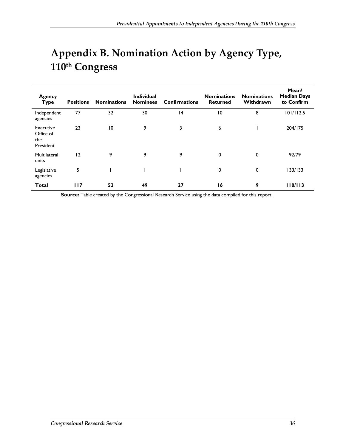# **Appendix B. Nomination Action by Agency Type, 110th Congress**

| <b>Agency</b><br><b>Type</b>               | <b>Positions</b> | <b>Nominations</b> | <b>Individual</b><br><b>Nominees</b> | <b>Confirmations</b> | <b>Nominations</b><br><b>Returned</b> | <b>Nominations</b><br>Withdrawn | Mean/<br><b>Median Days</b><br>to Confirm |
|--------------------------------------------|------------------|--------------------|--------------------------------------|----------------------|---------------------------------------|---------------------------------|-------------------------------------------|
| Independent<br>agencies                    | 77               | 32                 | 30                                   | 4                    | $\overline{10}$                       | 8                               | 101/112.5                                 |
| Executive<br>Office of<br>the<br>President | 23               | 10                 | 9                                    | 3                    | 6                                     |                                 | 204/175                                   |
| Multilateral<br>units                      | 12               | 9                  | 9                                    | 9                    | 0                                     | 0                               | 92/79                                     |
| Legislative<br>agencies                    | 5                |                    |                                      |                      | 0                                     | 0                               | 133/133                                   |
| <b>Total</b>                               | 117              | 52                 | 49                                   | 27                   | 16                                    | 9                               | 110/113                                   |

**Source:** Table created by the Congressional Research Service using the data compiled for this report.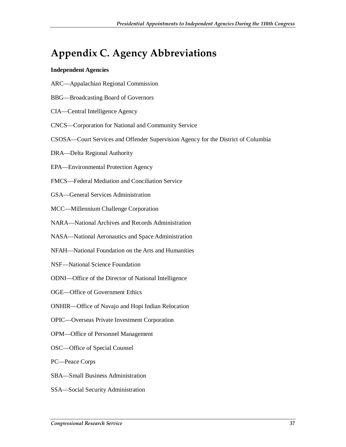# **Appendix C. Agency Abbreviations**

#### **Independent Agencies**

- ARC—Appalachian Regional Commission
- BBG—Broadcasting Board of Governors
- CIA—Central Intelligence Agency
- CNCS—Corporation for National and Community Service
- CSOSA—Court Services and Offender Supervision Agency for the District of Columbia
- DRA—Delta Regional Authority
- EPA—Environmental Protection Agency
- FMCS—Federal Mediation and Conciliation Service
- GSA—General Services Administration
- MCC—Millennium Challenge Corporation
- NARA—National Archives and Records Administration
- NASA—National Aeronautics and Space Administration
- NFAH—National Foundation on the Arts and Humanities
- NSF—National Science Foundation
- ODNI—Office of the Director of National Intelligence
- OGE—Office of Government Ethics
- ONHIR—Office of Navajo and Hopi Indian Relocation
- OPIC—Overseas Private Investment Corporation
- OPM—Office of Personnel Management
- OSC—Office of Special Counsel
- PC—Peace Corps
- SBA—Small Business Administration
- SSA—Social Security Administration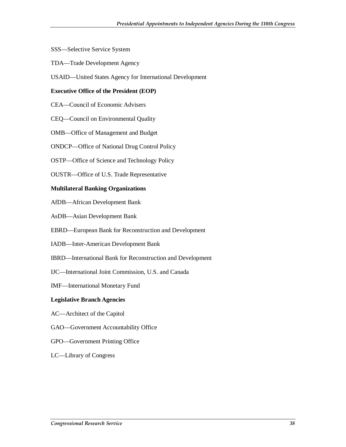- SSS—Selective Service System
- TDA—Trade Development Agency
- USAID—United States Agency for International Development

#### **Executive Office of the President (EOP)**

- CEA—Council of Economic Advisers
- CEQ—Council on Environmental Quality
- OMB—Office of Management and Budget
- ONDCP—Office of National Drug Control Policy
- OSTP—Office of Science and Technology Policy
- OUSTR—Office of U.S. Trade Representative

#### **Multilateral Banking Organizations**

- AfDB—African Development Bank
- AsDB—Asian Development Bank
- EBRD—European Bank for Reconstruction and Development
- IADB—Inter-American Development Bank
- IBRD—International Bank for Reconstruction and Development
- IJC—International Joint Commission, U.S. and Canada
- IMF—International Monetary Fund

#### **Legislative Branch Agencies**

- AC—Architect of the Capitol
- GAO—Government Accountability Office
- GPO—Government Printing Office
- LC—Library of Congress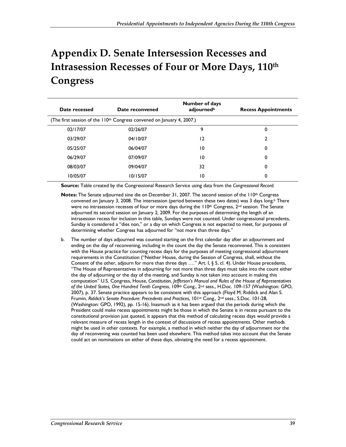# **Appendix D. Senate Intersession Recesses and Intrasession Recesses of Four or More Days, 110th Congress**

| Date recessed | Date reconvened                                                                    | <b>Number of days</b><br>adjournedb |   |
|---------------|------------------------------------------------------------------------------------|-------------------------------------|---|
|               | (The first session of the 110 <sup>th</sup> Congress convened on January 4, 2007.) |                                     |   |
| 02/17/07      | 02/26/07                                                                           | 9                                   | 0 |
| 03/29/07      | 04/10/07                                                                           | 12                                  |   |
| 05/25/07      | 06/04/07                                                                           | 10                                  | 0 |
| 06/29/07      | 07/09/07                                                                           | 10                                  | 0 |
| 08/03/07      | 09/04/07                                                                           | 32                                  | 0 |
| 10/05/07      | 10/15/07                                                                           | 10                                  | 0 |

**Source:** Table created by the Congressional Research Service using data from the *Congressional Record.* 

- **Notes:** The Senate adjourned sine die on December 31, 2007. The second session of the 110<sup>th</sup> Congress convened on January 3, 2008. The intersession (period between these two dates) was 3 days long.<sup>b</sup> There were no intrasession recesses of four or more days during the  $110<sup>th</sup>$  Congress,  $2<sup>nd</sup>$  session. The Senate adjourned its second session on January 2, 2009. For the purposes of determining the length of an intrasession recess for inclusion in this table, Sundays were not counted. Under congressional precedents, Sunday is considered a "dies non," or a day on which Congress is not expected to meet, for purposes of determining whether Congress has adjourned for "not more than three days."
- b. The number of days adjourned was counted starting on the first calendar day after an adjournment and ending on the day of reconvening, including in the count the day the Senate reconvened. This is consistent with the House practice for counting recess days for the purposes of meeting congressional adjournment requirements in the Constitution ("Neither House, during the Session of Congress, shall, without the Consent of the other, adjourn for more than three days …." Art. I, § 5, cl. 4). Under House precedents, "The House of Representatives in adjourning for not more than three days must take into the count either the day of adjourning or the day of the meeting, and Sunday is not taken into account in making this computation" U.S. Congress, House, *Constitution, Jefferson's Manual and Rules of the House of Representatives*  of the United States, One Hundred Tenth Congress, 109<sup>th</sup> Cong., 2<sup>nd</sup> sess., H.Doc. 109-157 (Washington: GPO, 2007), p. 37. Senate practice appears to be consistent with this approach (Floyd M. Riddick and Alan S. Frumin, *Riddick's Senate Procedure: Precedents and Practices*, 101st Cong., 2nd sess., S.Doc. 101-28, (Washington: GPO, 1992), pp. 15-16). Inasmuch as it has been argued that the periods during which the President could make recess appointments might be those in which the Senate is in recess pursuant to the constitutional provision just quoted, it appears that this method of calculating recess days would provide a relevant measure of recess length in the context of discussions of recess appointments. Other methods might be used in other contexts. For example, a method in which neither the day of adjournment nor the day of reconvening was counted has been used elsewhere. This method takes into account that the Senate could act on nominations on either of these days, obviating the need for a recess appointment.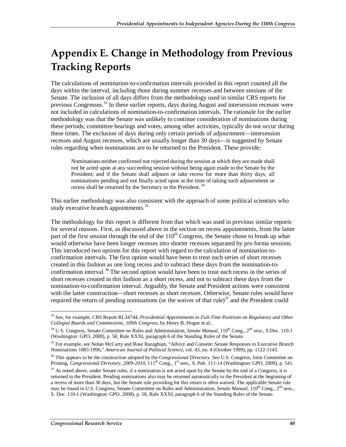# **Appendix E. Change in Methodology from Previous Tracking Reports**

The calculations of nomination-to-confirmation intervals provided in this report counted all the days within the interval, including those during summer recesses and between sessions of the Senate. The inclusion of all days differs from the methodology used in similar CRS reports for previous Congresses.<sup>33</sup> In these earlier reports, days during August and intersession recesses were not included in calculations of nomination-to-confirmation intervals. The rationale for the earlier methodology was that the Senate was unlikely to continue consideration of nominations during these periods; committee hearings and votes, among other activities, typically do not occur during these times. The exclusion of days during only certain periods of adjournment—intersession recesses and August recesses, which are usually longer than 30 days—is suggested by Senate rules regarding when nominations are to be returned to the President. These provide:

Nominations neither confirmed nor rejected during the session at which they are made shall not be acted upon at any succeeding session without being again made to the Senate by the President; and if the Senate shall adjourn or take recess for more than thirty days, all nominations pending and not finally acted upon at the time of taking such adjournment or recess shall be returned by the Secretary to the President.<sup>34</sup>

This earlier methodology was also consistent with the approach of some political scientists who study executive branch appointments.<sup>35</sup>

The methodology for this report is different from that which was used in previous similar reports for several reasons. First, as discussed above in the section on recess appointments, from the latter part of the first session through the end of the  $110<sup>th</sup>$  Congress, the Senate chose to break up what would otherwise have been longer recesses into shorter recesses separated by pro forma sessions. This introduced two options for this report with regard to the calculation of nomination-toconfirmation intervals. The first option would have been to treat each series of short recesses created in this fashion as one long recess and to subtract these days from the nomination-toconfirmation interval.<sup>36</sup> The second option would have been to treat each recess in the series of short recesses created in this fashion as a short recess, and not to subtract these days from the nomination-to-confirmation interval. Arguably, the Senate and President actions were consistent with the latter construction—short recesses as short recesses. Otherwise, Senate rules would have required the return of pending nominations (or the waiver of that rule) $37$  and the President could

<sup>-</sup>33 See, for example, CRS Report RL34744, *Presidential Appointments to Full-Time Positions on Regulatory and Other Collegial Boards and Commissions, 109th Congress*, by Henry B. Hogue et al..

<sup>&</sup>lt;sup>34</sup> U.S. Congress, Senate Committee on Rules and Administration, *Senate Manual*, 110<sup>th</sup> Cong., 2<sup>nd</sup> sess., S.Doc. 110-1 (Washington: GPO, 2008), p. 58, Rule XXXI, paragraph 6 of the Standing Rules of the Senate.

<sup>&</sup>lt;sup>35</sup> For example, see Nolan McCarty and Rose Razaghian, "Advice and Consent: Senate Responses to Executive Branch Nominations 1885-1996," *American Journal of Political Science*, vol. 43, no. 4 (October 1999), pp. 1122-1143.

<sup>&</sup>lt;sup>36</sup> This appears to be the construction adopted by the *Congressional Directory*. See U.S. Congress, Joint Committee on Printing, *Congressional Directory, 2009-2010*, 111<sup>th</sup> Cong., 1<sup>st</sup> sess., S. Pub. 111-14 (Washington: GPO, 2009), p. 541.

 $37$  As noted above, under Senate rules, if a nomination is not acted upon by the Senate by the end of a Congress, it is returned to the President. Pending nominations also may be returned automatically to the President at the beginning of a recess of more than 30 days, but the Senate rule providing for this return is often waived. The applicable Senate rule may be found in U.S. Congress, Senate Committee on Rules and Administration, *Senate Manual*, 110<sup>th</sup> Cong., 2<sup>nd</sup> sess., S. Doc. 110-1 (Washington: GPO, 2008), p. 58, Rule XXXI, paragraph 6 of the Standing Rules of the Senate.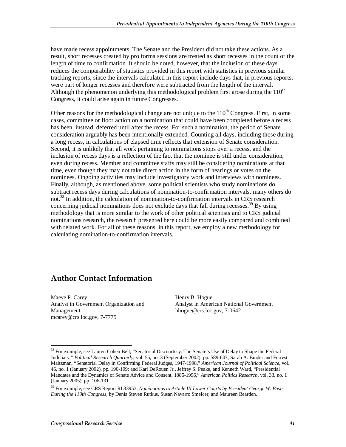have made recess appointments. The Senate and the President did not take these actions. As a result, short recesses created by pro forma sessions are treated as short recesses in the count of the length of time to confirmation. It should be noted, however, that the inclusion of these days reduces the comparability of statistics provided in this report with statistics in previous similar tracking reports, since the intervals calculated in this report include days that, in previous reports, were part of longer recesses and therefore were subtracted from the length of the interval. Although the phenomenon underlying this methodological problem first arose during the  $110<sup>th</sup>$ Congress, it could arise again in future Congresses.

Other reasons for the methodological change are not unique to the  $110<sup>th</sup>$  Congress. First, in some cases, committee or floor action on a nomination that could have been completed before a recess has been, instead, deferred until after the recess. For such a nomination, the period of Senate consideration arguably has been intentionally extended. Counting all days, including those during a long recess, in calculations of elapsed time reflects that extension of Senate consideration. Second, it is unlikely that all work pertaining to nominations stops over a recess, and the inclusion of recess days is a reflection of the fact that the nominee is still under consideration, even during recess. Member and committee staffs may still be considering nominations at that time, even though they may not take direct action in the form of hearings or votes on the nominees. Ongoing activities may include investigatory work and interviews with nominees. Finally, although, as mentioned above, some political scientists who study nominations do subtract recess days during calculations of nomination-to-confirmation intervals, many others do not.<sup>38</sup> In addition, the calculation of nomination-to-confirmation intervals in CRS research concerning judicial nominations does not exclude days that fall during recesses.<sup>39</sup> By using methodology that is more similar to the work of other political scientists and to CRS judicial nominations research, the research presented here could be more easily compared and combined with related work. For all of these reasons, in this report, we employ a new methodology for calculating nomination-to-confirmation intervals.

## **Author Contact Information**

Maeve P. Carey Analyst in Government Organization and Management mcarey@crs.loc.gov, 7-7775

Henry B. Hogue Analyst in American National Government hhogue@crs.loc.gov, 7-0642

-

<sup>&</sup>lt;sup>38</sup> For example, see Lauren Cohen Bell, "Senatorial Discourtesy: The Senate's Use of Delay to Shape the Federal Judiciary," *Political Research Quarterly*, vol. 55, no. 3 (September 2002), pp. 589-607; Sarah A. Binder and Forrest Maltzman, "Senatorial Delay in Confirming Federal Judges, 1947-1998," *American Journal of Political Science*, vol. 46, no. 1 (January 2002), pp. 190-199; and Karl DeRouen Jr., Jeffrey S. Peake, and Kenneth Ward, "Presidential Mandates and the Dynamics of Senate Advice and Consent, 1885-1996," *American Politics Research*, vol. 33, no. 1 (January 2005), pp. 106-131.

<sup>39</sup> For example, see CRS Report RL33953, *Nominations to Article III Lower Courts by President George W. Bush During the 110th Congress*, by Denis Steven Rutkus, Susan Navarro Smelcer, and Maureen Bearden.